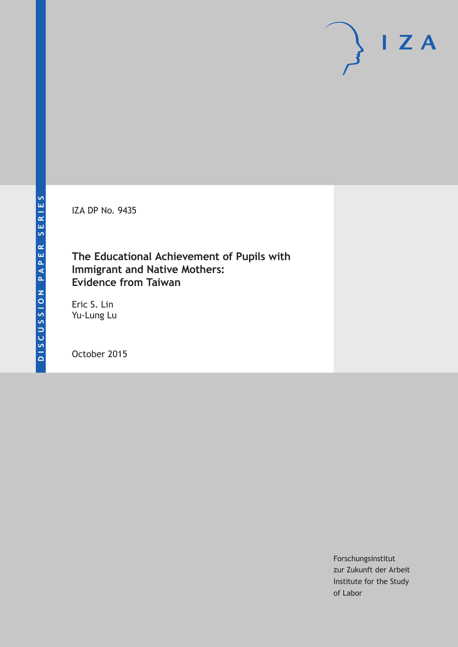IZA DP No. 9435

**The Educational Achievement of Pupils with Immigrant and Native Mothers: Evidence from Taiwan**

Eric S. Lin Yu-Lung Lu

October 2015

Forschungsinstitut zur Zukunft der Arbeit Institute for the Study of Labor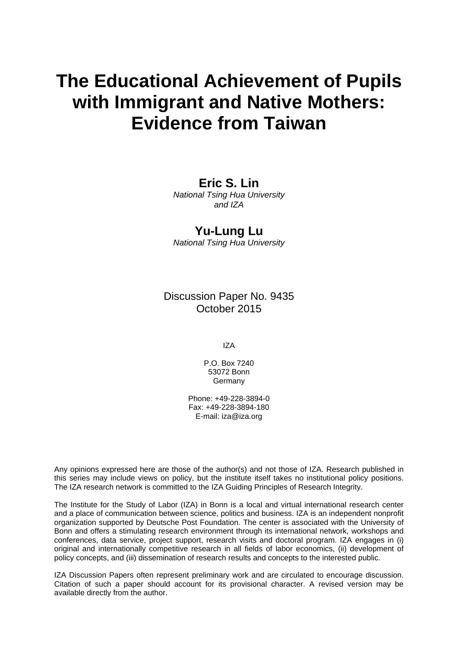# **The Educational Achievement of Pupils with Immigrant and Native Mothers: Evidence from Taiwan**

## **Eric S. Lin**

*National Tsing Hua University and IZA* 

## **Yu-Lung Lu**

*National Tsing Hua University* 

Discussion Paper No. 9435 October 2015

IZA

P.O. Box 7240 53072 Bonn Germany

Phone: +49-228-3894-0 Fax: +49-228-3894-180 E-mail: iza@iza.org

Any opinions expressed here are those of the author(s) and not those of IZA. Research published in this series may include views on policy, but the institute itself takes no institutional policy positions. The IZA research network is committed to the IZA Guiding Principles of Research Integrity.

The Institute for the Study of Labor (IZA) in Bonn is a local and virtual international research center and a place of communication between science, politics and business. IZA is an independent nonprofit organization supported by Deutsche Post Foundation. The center is associated with the University of Bonn and offers a stimulating research environment through its international network, workshops and conferences, data service, project support, research visits and doctoral program. IZA engages in (i) original and internationally competitive research in all fields of labor economics, (ii) development of policy concepts, and (iii) dissemination of research results and concepts to the interested public.

IZA Discussion Papers often represent preliminary work and are circulated to encourage discussion. Citation of such a paper should account for its provisional character. A revised version may be available directly from the author.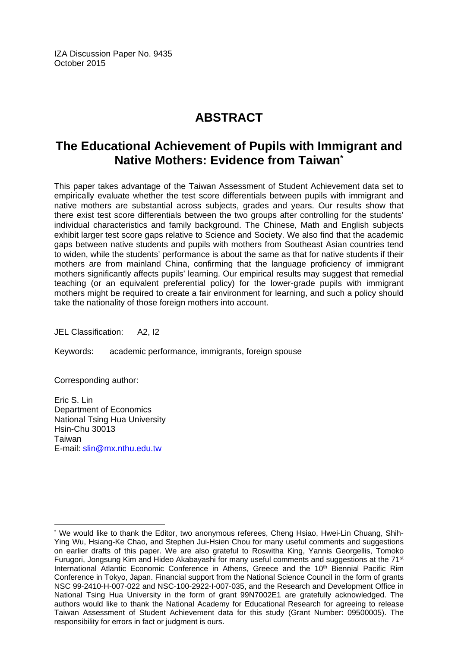IZA Discussion Paper No. 9435 October 2015

# **ABSTRACT**

# **The Educational Achievement of Pupils with Immigrant and Native Mothers: Evidence from Taiwan\***

This paper takes advantage of the Taiwan Assessment of Student Achievement data set to empirically evaluate whether the test score differentials between pupils with immigrant and native mothers are substantial across subjects, grades and years. Our results show that there exist test score differentials between the two groups after controlling for the students' individual characteristics and family background. The Chinese, Math and English subjects exhibit larger test score gaps relative to Science and Society. We also find that the academic gaps between native students and pupils with mothers from Southeast Asian countries tend to widen, while the students' performance is about the same as that for native students if their mothers are from mainland China, confirming that the language proficiency of immigrant mothers significantly affects pupils' learning. Our empirical results may suggest that remedial teaching (or an equivalent preferential policy) for the lower-grade pupils with immigrant mothers might be required to create a fair environment for learning, and such a policy should take the nationality of those foreign mothers into account.

JEL Classification: A2, I2

Keywords: academic performance, immigrants, foreign spouse

Corresponding author:

 $\overline{a}$ 

Eric S. Lin Department of Economics National Tsing Hua University Hsin-Chu 30013 Taiwan E-mail: slin@mx.nthu.edu.tw

<sup>\*</sup> We would like to thank the Editor, two anonymous referees, Cheng Hsiao, Hwei-Lin Chuang, Shih-Ying Wu, Hsiang-Ke Chao, and Stephen Jui-Hsien Chou for many useful comments and suggestions on earlier drafts of this paper. We are also grateful to Roswitha King, Yannis Georgellis, Tomoko Furugori, Jongsung Kim and Hideo Akabayashi for many useful comments and suggestions at the 71<sup>st</sup> International Atlantic Economic Conference in Athens, Greece and the 10<sup>th</sup> Biennial Pacific Rim Conference in Tokyo, Japan. Financial support from the National Science Council in the form of grants NSC 99-2410-H-007-022 and NSC-100-2922-I-007-035, and the Research and Development Office in National Tsing Hua University in the form of grant 99N7002E1 are gratefully acknowledged. The authors would like to thank the National Academy for Educational Research for agreeing to release Taiwan Assessment of Student Achievement data for this study (Grant Number: 09500005). The responsibility for errors in fact or judgment is ours.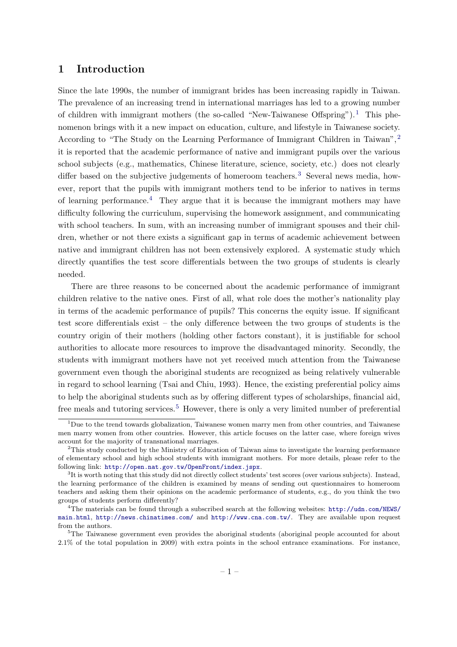#### <span id="page-3-0"></span>1 Introduction

Since the late 1990s, the number of immigrant brides has been increasing rapidly in Taiwan. The prevalence of an increasing trend in international marriages has led to a growing number of children with immigrant mothers (the so-called "New-Taiwanese Offspring").<sup>1</sup> This phenomenon brings with it a new impact on education, culture, and lifestyle in Taiwanese society. According to "The Study on the Learning Performance of Immigrant Children in Taiwan",<sup>2</sup> it is reported that the academic performance of native and immigrant pupils over the various school subjects (e.g., mathematics, Chinese literature, science, society, etc.) does not clearly differ based on the subjective judgements of homeroom teachers.<sup>3</sup> Several news media, however, report that the pupils with immigrant mothers tend to be inferior to natives in terms of learning performance.<sup>4</sup> They argue that it is because the immigrant mothers may have difficulty following the curriculum, supervising the homework assignment, and communicating with school teachers. In sum, with an increasing number of immigrant spouses and their children, whether or not there exists a significant gap in terms of academic achievement between native and immigrant children has not been extensively explored. A systematic study which directly quantifies the test score differentials between the two groups of students is clearly needed.

There are three reasons to be concerned about the academic performance of immigrant children relative to the native ones. First of all, what role does the mother's nationality play in terms of the academic performance of pupils? This concerns the equity issue. If significant test score differentials exist – the only difference between the two groups of students is the country origin of their mothers (holding other factors constant), it is justifiable for school authorities to allocate more resources to improve the disadvantaged minority. Secondly, the students with immigrant mothers have not yet received much attention from the Taiwanese government even though the aboriginal students are recognized as being relatively vulnerable in regard to school learning (Tsai and Chiu, 1993). Hence, the existing preferential policy aims to help the aboriginal students such as by offering different types of scholarships, financial aid, free meals and tutoring services.<sup>5</sup> However, there is only a very limited number of preferential

<sup>&</sup>lt;sup>1</sup>Due to the trend towards globalization, Taiwanese women marry men from other countries, and Taiwanese men marry women from other countries. However, this article focuses on the latter case, where foreign wives account for the majority of transnational marriages.

<sup>&</sup>lt;sup>2</sup>This study conducted by the Ministry of Education of Taiwan aims to investigate the learning performance of elementary school and high school students with immigrant mothers. For more details, please refer to the following link: <http://open.nat.gov.tw/OpenFront/index.jspx>.

<sup>&</sup>lt;sup>3</sup>It is worth noting that this study did not directly collect students' test scores (over various subjects). Instead, the learning performance of the children is examined by means of sending out questionnaires to homeroom teachers and asking them their opinions on the academic performance of students, e.g., do you think the two groups of students perform differently?

<sup>4</sup>The materials can be found through a subscribed search at the following websites: [http://udn.com/NEWS/](http://udn.com/NEWS/main.html) [main.html](http://udn.com/NEWS/main.html), <http://news.chinatimes.com/> and <http://www.cna.com.tw/>. They are available upon request from the authors.

<sup>5</sup>The Taiwanese government even provides the aboriginal students (aboriginal people accounted for about 2.1% of the total population in 2009) with extra points in the school entrance examinations. For instance,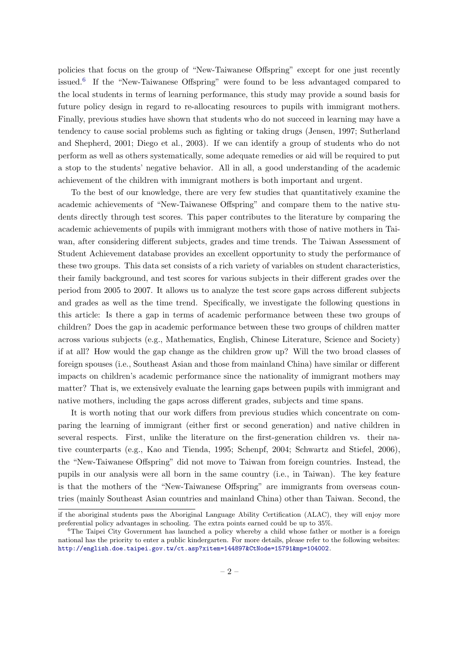policies that focus on the group of "New-Taiwanese Offspring" except for one just recently issued.<sup>6</sup> If the "New-Taiwanese Offspring" were found to be less advantaged compared to the local students in terms of learning performance, this study may provide a sound basis for future policy design in regard to re-allocating resources to pupils with immigrant mothers. Finally, previous studies have shown that students who do not succeed in learning may have a tendency to cause social problems such as fighting or taking drugs (Jensen, 1997; Sutherland and Shepherd, 2001; Diego et al., 2003). If we can identify a group of students who do not perform as well as others systematically, some adequate remedies or aid will be required to put a stop to the students' negative behavior. All in all, a good understanding of the academic achievement of the children with immigrant mothers is both important and urgent.

To the best of our knowledge, there are very few studies that quantitatively examine the academic achievements of "New-Taiwanese Offspring" and compare them to the native students directly through test scores. This paper contributes to the literature by comparing the academic achievements of pupils with immigrant mothers with those of native mothers in Taiwan, after considering different subjects, grades and time trends. The Taiwan Assessment of Student Achievement database provides an excellent opportunity to study the performance of these two groups. This data set consists of a rich variety of variables on student characteristics, their family background, and test scores for various subjects in their different grades over the period from 2005 to 2007. It allows us to analyze the test score gaps across different subjects and grades as well as the time trend. Specifically, we investigate the following questions in this article: Is there a gap in terms of academic performance between these two groups of children? Does the gap in academic performance between these two groups of children matter across various subjects (e.g., Mathematics, English, Chinese Literature, Science and Society) if at all? How would the gap change as the children grow up? Will the two broad classes of foreign spouses (i.e., Southeast Asian and those from mainland China) have similar or different impacts on children's academic performance since the nationality of immigrant mothers may matter? That is, we extensively evaluate the learning gaps between pupils with immigrant and native mothers, including the gaps across different grades, subjects and time spans.

It is worth noting that our work differs from previous studies which concentrate on comparing the learning of immigrant (either first or second generation) and native children in several respects. First, unlike the literature on the first-generation children vs. their native counterparts (e.g., Kao and Tienda, 1995; Schenpf, 2004; Schwartz and Stiefel, 2006), the "New-Taiwanese Offspring" did not move to Taiwan from foreign countries. Instead, the pupils in our analysis were all born in the same country (i.e., in Taiwan). The key feature is that the mothers of the "New-Taiwanese Offspring" are immigrants from overseas countries (mainly Southeast Asian countries and mainland China) other than Taiwan. Second, the

if the aboriginal students pass the Aboriginal Language Ability Certification (ALAC), they will enjoy more preferential policy advantages in schooling. The extra points earned could be up to 35%.

<sup>&</sup>lt;sup>6</sup>The Taipei City Government has launched a policy whereby a child whose father or mother is a foreign national has the priority to enter a public kindergarten. For more details, please refer to the following websites: <http://english.doe.taipei.gov.tw/ct.asp?xitem=144897&CtNode=15791&mp=104002>.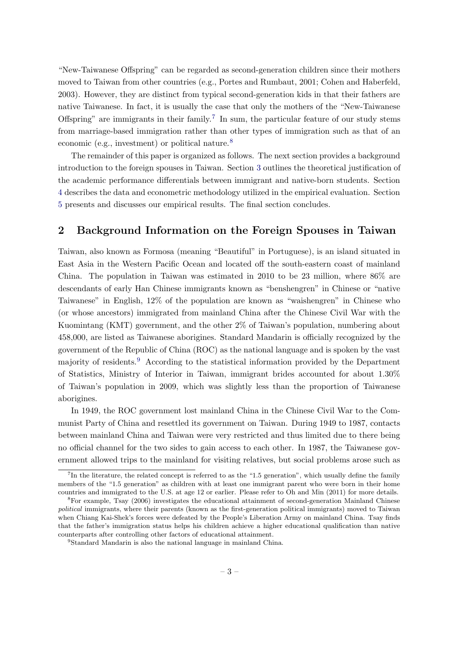"New-Taiwanese Offspring" can be regarded as second-generation children since their mothers moved to Taiwan from other countries (e.g., Portes and Rumbaut, 2001; Cohen and Haberfeld, 2003). However, they are distinct from typical second-generation kids in that their fathers are native Taiwanese. In fact, it is usually the case that only the mothers of the "New-Taiwanese Offspring" are immigrants in their family.<sup>7</sup> In sum, the particular feature of our study stems from marriage-based immigration rather than other types of immigration such as that of an economic (e.g., investment) or political nature.<sup>8</sup>

The remainder of this paper is organized as follows. The next section provides a background introduction to the foreign spouses in Taiwan. Section [3](#page-7-0) outlines the theoretical justification of the academic performance differentials between immigrant and native-born students. Section [4](#page-9-0) describes the data and econometric methodology utilized in the empirical evaluation. Section [5](#page-12-0) presents and discusses our empirical results. The final section concludes.

#### 2 Background Information on the Foreign Spouses in Taiwan

Taiwan, also known as Formosa (meaning "Beautiful" in Portuguese), is an island situated in East Asia in the Western Pacific Ocean and located off the south-eastern coast of mainland China. The population in Taiwan was estimated in 2010 to be 23 million, where 86% are descendants of early Han Chinese immigrants known as "benshengren" in Chinese or "native Taiwanese" in English, 12% of the population are known as "waishengren" in Chinese who (or whose ancestors) immigrated from mainland China after the Chinese Civil War with the Kuomintang (KMT) government, and the other 2% of Taiwan's population, numbering about 458,000, are listed as Taiwanese aborigines. Standard Mandarin is officially recognized by the government of the Republic of China (ROC) as the national language and is spoken by the vast majority of residents.<sup>9</sup> According to the statistical information provided by the Department of Statistics, Ministry of Interior in Taiwan, immigrant brides accounted for about 1.30% of Taiwan's population in 2009, which was slightly less than the proportion of Taiwanese aborigines.

In 1949, the ROC government lost mainland China in the Chinese Civil War to the Communist Party of China and resettled its government on Taiwan. During 1949 to 1987, contacts between mainland China and Taiwan were very restricted and thus limited due to there being no official channel for the two sides to gain access to each other. In 1987, the Taiwanese government allowed trips to the mainland for visiting relatives, but social problems arose such as

 ${}^{7}$ In the literature, the related concept is referred to as the "1.5 generation", which usually define the family members of the "1.5 generation" as children with at least one immigrant parent who were born in their home countries and immigrated to the U.S. at age 12 or earlier. Please refer to Oh and Min (2011) for more details.

<sup>8</sup>For example, Tsay (2006) investigates the educational attainment of second-generation Mainland Chinese political immigrants, where their parents (known as the first-generation political immigrants) moved to Taiwan when Chiang Kai-Shek's forces were defeated by the People's Liberation Army on mainland China. Tsay finds that the father's immigration status helps his children achieve a higher educational qualification than native counterparts after controlling other factors of educational attainment.

<sup>&</sup>lt;sup>9</sup>Standard Mandarin is also the national language in mainland China.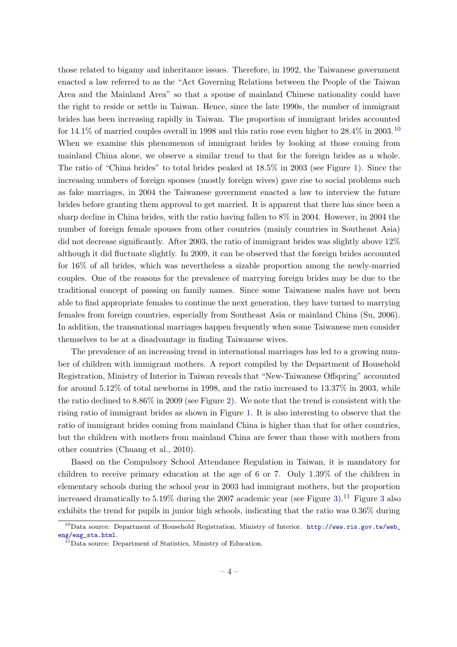those related to bigamy and inheritance issues. Therefore, in 1992, the Taiwanese government enacted a law referred to as the "Act Governing Relations between the People of the Taiwan Area and the Mainland Area" so that a spouse of mainland Chinese nationality could have the right to reside or settle in Taiwan. Hence, since the late 1990s, the number of immigrant brides has been increasing rapidly in Taiwan. The proportion of immigrant brides accounted for 14.1% of married couples overall in 1998 and this ratio rose even higher to  $28.4\%$  in 2003.<sup>10</sup> When we examine this phenomenon of immigrant brides by looking at those coming from mainland China alone, we observe a similar trend to that for the foreign brides as a whole. The ratio of "China brides" to total brides peaked at 18.5% in 2003 (see Figure [1](#page-22-0)). Since the increasing numbers of foreign spouses (mostly foreign wives) gave rise to social problems such as fake marriages, in 2004 the Taiwanese government enacted a law to interview the future brides before granting them approval to get married. It is apparent that there has since been a sharp decline in China brides, with the ratio having fallen to 8% in 2004. However, in 2004 the number of foreign female spouses from other countries (mainly countries in Southeast Asia) did not decrease significantly. After 2003, the ratio of immigrant brides was slightly above 12% although it did fluctuate slightly. In 2009, it can be observed that the foreign brides accounted for 16% of all brides, which was nevertheless a sizable proportion among the newly-married couples. One of the reasons for the prevalence of marrying foreign brides may be due to the traditional concept of passing on family names. Since some Taiwanese males have not been able to find appropriate females to continue the next generation, they have turned to marrying females from foreign countries, especially from Southeast Asia or mainland China (Su, 2006). In addition, the transnational marriages happen frequently when some Taiwanese men consider themselves to be at a disadvantage in finding Taiwanese wives.

The prevalence of an increasing trend in international marriages has led to a growing number of children with immigrant mothers. A report compiled by the Department of Household Registration, Ministry of Interior in Taiwan reveals that "New-Taiwanese Offspring" accounted for around 5.12% of total newborns in 1998, and the ratio increased to 13.37% in 2003, while the ratio declined to 8.86% in 2009 (see Figure [2\)](#page-23-0). We note that the trend is consistent with the rising ratio of immigrant brides as shown in Figure [1](#page-22-0). It is also interesting to observe that the ratio of immigrant brides coming from mainland China is higher than that for other countries, but the children with mothers from mainland China are fewer than those with mothers from other countries (Chuang et al., 2010).

Based on the Compulsory School Attendance Regulation in Taiwan, it is mandatory for children to receive primary education at the age of 6 or 7. Only 1.39% of the children in elementary schools during the school year in 2003 had immigrant mothers, but the proportion increased dramatically to  $5.19\%$  during the 2007 academic year (see Figure [3\)](#page-24-0).<sup>11</sup> Figure [3](#page-24-0) also exhibits the trend for pupils in junior high schools, indicating that the ratio was 0.36% during

<sup>&</sup>lt;sup>10</sup>Data source: Department of Household Registration, Ministry of Interior. [http://www.ris.gov.tw/web\\_](http://www.ris.gov.tw/web_eng/eng_sta.html) [eng/eng\\_sta.html](http://www.ris.gov.tw/web_eng/eng_sta.html).

Data source: Department of Statistics, Ministry of Education.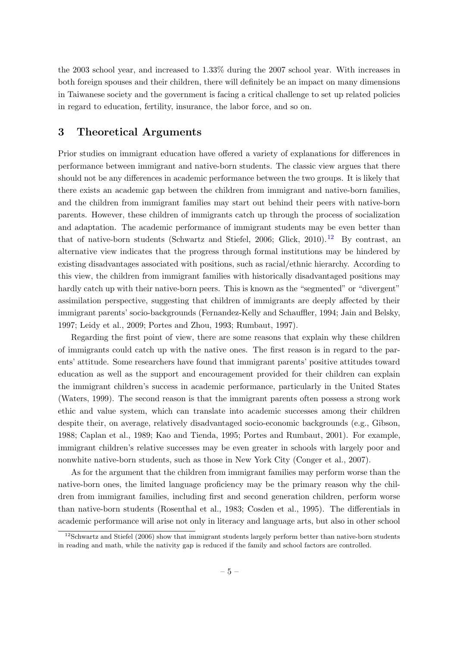<span id="page-7-0"></span>the 2003 school year, and increased to 1.33% during the 2007 school year. With increases in both foreign spouses and their children, there will definitely be an impact on many dimensions in Taiwanese society and the government is facing a critical challenge to set up related policies in regard to education, fertility, insurance, the labor force, and so on.

#### 3 Theoretical Arguments

Prior studies on immigrant education have offered a variety of explanations for differences in performance between immigrant and native-born students. The classic view argues that there should not be any differences in academic performance between the two groups. It is likely that there exists an academic gap between the children from immigrant and native-born families, and the children from immigrant families may start out behind their peers with native-born parents. However, these children of immigrants catch up through the process of socialization and adaptation. The academic performance of immigrant students may be even better than that of native-born students (Schwartz and Stiefel, 2006; Glick, 2010).<sup>12</sup> By contrast, an alternative view indicates that the progress through formal institutions may be hindered by existing disadvantages associated with positions, such as racial/ethnic hierarchy. According to this view, the children from immigrant families with historically disadvantaged positions may hardly catch up with their native-born peers. This is known as the "segmented" or "divergent" assimilation perspective, suggesting that children of immigrants are deeply affected by their immigrant parents' socio-backgrounds (Fernandez-Kelly and Schauffler, 1994; Jain and Belsky, 1997; Leidy et al., 2009; Portes and Zhou, 1993; Rumbaut, 1997).

Regarding the first point of view, there are some reasons that explain why these children of immigrants could catch up with the native ones. The first reason is in regard to the parents' attitude. Some researchers have found that immigrant parents' positive attitudes toward education as well as the support and encouragement provided for their children can explain the immigrant children's success in academic performance, particularly in the United States (Waters, 1999). The second reason is that the immigrant parents often possess a strong work ethic and value system, which can translate into academic successes among their children despite their, on average, relatively disadvantaged socio-economic backgrounds (e.g., Gibson, 1988; Caplan et al., 1989; Kao and Tienda, 1995; Portes and Rumbaut, 2001). For example, immigrant children's relative successes may be even greater in schools with largely poor and nonwhite native-born students, such as those in New York City (Conger et al., 2007).

As for the argument that the children from immigrant families may perform worse than the native-born ones, the limited language proficiency may be the primary reason why the children from immigrant families, including first and second generation children, perform worse than native-born students (Rosenthal et al., 1983; Cosden et al., 1995). The differentials in academic performance will arise not only in literacy and language arts, but also in other school

<sup>&</sup>lt;sup>12</sup>Schwartz and Stiefel (2006) show that immigrant students largely perform better than native-born students in reading and math, while the nativity gap is reduced if the family and school factors are controlled.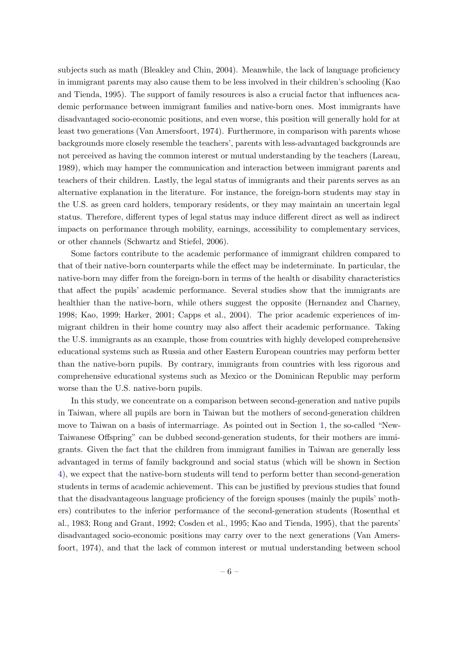subjects such as math (Bleakley and Chin, 2004). Meanwhile, the lack of language proficiency in immigrant parents may also cause them to be less involved in their children's schooling (Kao and Tienda, 1995). The support of family resources is also a crucial factor that influences academic performance between immigrant families and native-born ones. Most immigrants have disadvantaged socio-economic positions, and even worse, this position will generally hold for at least two generations (Van Amersfoort, 1974). Furthermore, in comparison with parents whose backgrounds more closely resemble the teachers', parents with less-advantaged backgrounds are not perceived as having the common interest or mutual understanding by the teachers (Lareau, 1989), which may hamper the communication and interaction between immigrant parents and teachers of their children. Lastly, the legal status of immigrants and their parents serves as an alternative explanation in the literature. For instance, the foreign-born students may stay in the U.S. as green card holders, temporary residents, or they may maintain an uncertain legal status. Therefore, different types of legal status may induce different direct as well as indirect impacts on performance through mobility, earnings, accessibility to complementary services, or other channels (Schwartz and Stiefel, 2006).

Some factors contribute to the academic performance of immigrant children compared to that of their native-born counterparts while the effect may be indeterminate. In particular, the native-born may differ from the foreign-born in terms of the health or disability characteristics that affect the pupils' academic performance. Several studies show that the immigrants are healthier than the native-born, while others suggest the opposite (Hernandez and Charney, 1998; Kao, 1999; Harker, 2001; Capps et al., 2004). The prior academic experiences of immigrant children in their home country may also affect their academic performance. Taking the U.S. immigrants as an example, those from countries with highly developed comprehensive educational systems such as Russia and other Eastern European countries may perform better than the native-born pupils. By contrary, immigrants from countries with less rigorous and comprehensive educational systems such as Mexico or the Dominican Republic may perform worse than the U.S. native-born pupils.

In this study, we concentrate on a comparison between second-generation and native pupils in Taiwan, where all pupils are born in Taiwan but the mothers of second-generation children move to Taiwan on a basis of intermarriage. As pointed out in Section [1](#page-3-0), the so-called "New-Taiwanese Offspring" can be dubbed second-generation students, for their mothers are immigrants. Given the fact that the children from immigrant families in Taiwan are generally less advantaged in terms of family background and social status (which will be shown in Section [4](#page-9-0)), we expect that the native-born students will tend to perform better than second-generation students in terms of academic achievement. This can be justified by previous studies that found that the disadvantageous language proficiency of the foreign spouses (mainly the pupils' mothers) contributes to the inferior performance of the second-generation students (Rosenthal et al., 1983; Rong and Grant, 1992; Cosden et al., 1995; Kao and Tienda, 1995), that the parents' disadvantaged socio-economic positions may carry over to the next generations (Van Amersfoort, 1974), and that the lack of common interest or mutual understanding between school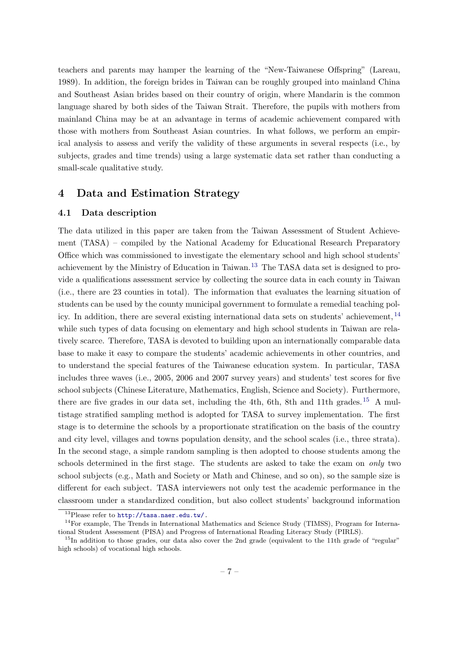<span id="page-9-0"></span>teachers and parents may hamper the learning of the "New-Taiwanese Offspring" (Lareau, 1989). In addition, the foreign brides in Taiwan can be roughly grouped into mainland China and Southeast Asian brides based on their country of origin, where Mandarin is the common language shared by both sides of the Taiwan Strait. Therefore, the pupils with mothers from mainland China may be at an advantage in terms of academic achievement compared with those with mothers from Southeast Asian countries. In what follows, we perform an empirical analysis to assess and verify the validity of these arguments in several respects (i.e., by subjects, grades and time trends) using a large systematic data set rather than conducting a small-scale qualitative study.

#### 4 Data and Estimation Strategy

#### 4.1 Data description

The data utilized in this paper are taken from the Taiwan Assessment of Student Achievement (TASA) – compiled by the National Academy for Educational Research Preparatory Office which was commissioned to investigate the elementary school and high school students' achievement by the Ministry of Education in Taiwan.<sup>13</sup> The TASA data set is designed to provide a qualifications assessment service by collecting the source data in each county in Taiwan (i.e., there are 23 counties in total). The information that evaluates the learning situation of students can be used by the county municipal government to formulate a remedial teaching policy. In addition, there are several existing international data sets on students' achievement, <sup>14</sup> while such types of data focusing on elementary and high school students in Taiwan are relatively scarce. Therefore, TASA is devoted to building upon an internationally comparable data base to make it easy to compare the students' academic achievements in other countries, and to understand the special features of the Taiwanese education system. In particular, TASA includes three waves (i.e., 2005, 2006 and 2007 survey years) and students' test scores for five school subjects (Chinese Literature, Mathematics, English, Science and Society). Furthermore, there are five grades in our data set, including the 4th, 6th, 8th and 11th grades.<sup>15</sup> A multistage stratified sampling method is adopted for TASA to survey implementation. The first stage is to determine the schools by a proportionate stratification on the basis of the country and city level, villages and towns population density, and the school scales (i.e., three strata). In the second stage, a simple random sampling is then adopted to choose students among the schools determined in the first stage. The students are asked to take the exam on only two school subjects (e.g., Math and Society or Math and Chinese, and so on), so the sample size is different for each subject. TASA interviewers not only test the academic performance in the classroom under a standardized condition, but also collect students' background information

<sup>13</sup>Please refer to <http://tasa.naer.edu.tw/>.

<sup>&</sup>lt;sup>14</sup>For example, The Trends in International Mathematics and Science Study (TIMSS), Program for International Student Assessment (PISA) and Progress of International Reading Literacy Study (PIRLS).

 $^{15}$ In addition to those grades, our data also cover the 2nd grade (equivalent to the 11th grade of "regular" high schools) of vocational high schools.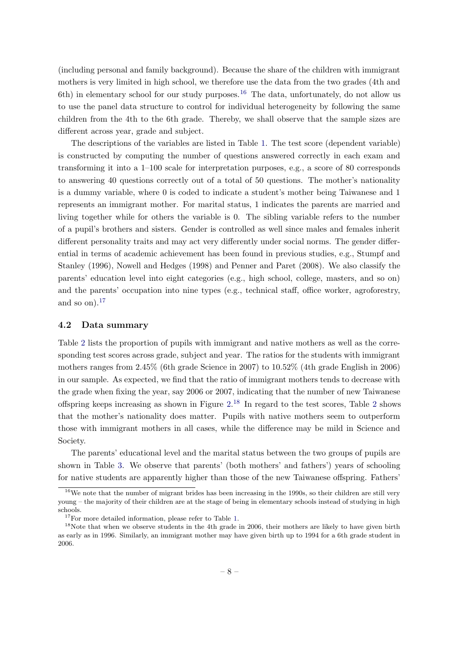(including personal and family background). Because the share of the children with immigrant mothers is very limited in high school, we therefore use the data from the two grades (4th and 6th) in elementary school for our study purposes.<sup>16</sup> The data, unfortunately, do not allow us to use the panel data structure to control for individual heterogeneity by following the same children from the 4th to the 6th grade. Thereby, we shall observe that the sample sizes are different across year, grade and subject.

The descriptions of the variables are listed in Table [1](#page-25-0). The test score (dependent variable) is constructed by computing the number of questions answered correctly in each exam and transforming it into a 1–100 scale for interpretation purposes, e.g., a score of 80 corresponds to answering 40 questions correctly out of a total of 50 questions. The mother's nationality is a dummy variable, where 0 is coded to indicate a student's mother being Taiwanese and 1 represents an immigrant mother. For marital status, 1 indicates the parents are married and living together while for others the variable is 0. The sibling variable refers to the number of a pupil's brothers and sisters. Gender is controlled as well since males and females inherit different personality traits and may act very differently under social norms. The gender differential in terms of academic achievement has been found in previous studies, e.g., Stumpf and Stanley (1996), Nowell and Hedges (1998) and Penner and Paret (2008). We also classify the parents' education level into eight categories (e.g., high school, college, masters, and so on) and the parents' occupation into nine types (e.g., technical staff, office worker, agroforestry, and so on). $17$ 

#### 4.2 Data summary

Table [2](#page-26-0) lists the proportion of pupils with immigrant and native mothers as well as the corresponding test scores across grade, subject and year. The ratios for the students with immigrant mothers ranges from 2.45% (6th grade Science in 2007) to 10.52% (4th grade English in 2006) in our sample. As expected, we find that the ratio of immigrant mothers tends to decrease with the grade when fixing the year, say 2006 or 2007, indicating that the number of new Taiwanese offspring keeps increasing as shown in Figure [2.](#page-23-0) <sup>18</sup> In regard to the test scores, Table [2](#page-26-0) shows that the mother's nationality does matter. Pupils with native mothers seem to outperform those with immigrant mothers in all cases, while the difference may be mild in Science and Society.

The parents' educational level and the marital status between the two groups of pupils are shown in Table [3.](#page-27-0) We observe that parents' (both mothers' and fathers') years of schooling for native students are apparently higher than those of the new Taiwanese offspring. Fathers'

<sup>&</sup>lt;sup>16</sup>We note that the number of migrant brides has been increasing in the 1990s, so their children are still very young – the majority of their children are at the stage of being in elementary schools instead of studying in high schools.

<sup>&</sup>lt;sup>17</sup>For more detailed information, please refer to Table [1.](#page-25-0)

 $18$ Note that when we observe students in the 4th grade in 2006, their mothers are likely to have given birth as early as in 1996. Similarly, an immigrant mother may have given birth up to 1994 for a 6th grade student in 2006.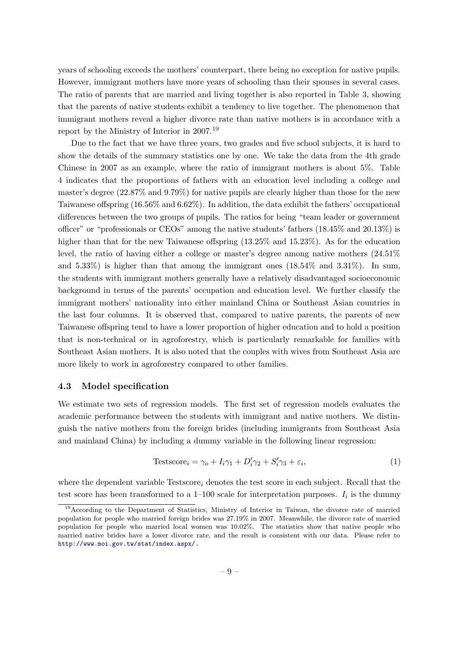<span id="page-11-0"></span>years of schooling exceeds the mothers' counterpart, there being no exception for native pupils. However, immigrant mothers have more years of schooling than their spouses in several cases. The ratio of parents that are married and living together is also reported in Table [3](#page-27-0), showing that the parents of native students exhibit a tendency to live together. The phenomenon that immigrant mothers reveal a higher divorce rate than native mothers is in accordance with a report by the Ministry of Interior in 2007.<sup>19</sup>

Due to the fact that we have three years, two grades and five school subjects, it is hard to show the details of the summary statistics one by one. We take the data from the 4th grade Chinese in 2007 as an example, where the ratio of immigrant mothers is about 5%. Table [4](#page-28-0) indicates that the proportions of fathers with an education level including a college and master's degree (22.87% and 9.79%) for native pupils are clearly higher than those for the new Taiwanese offspring (16.56% and 6.62%). In addition, the data exhibit the fathers' occupational differences between the two groups of pupils. The ratios for being "team leader or government officer" or "professionals or CEOs" among the native students' fathers (18.45% and 20.13%) is higher than that for the new Taiwanese offspring  $(13.25\% \text{ and } 15.23\%)$ . As for the education level, the ratio of having either a college or master's degree among native mothers (24.51% and  $5.33\%$ ) is higher than that among the immigrant ones  $(18.54\% \text{ and } 3.31\%).$  In sum, the students with immigrant mothers generally have a relatively disadvantaged socioeconomic background in terms of the parents' occupation and education level. We further classify the immigrant mothers' nationality into either mainland China or Southeast Asian countries in the last four columns. It is observed that, compared to native parents, the parents of new Taiwanese offspring tend to have a lower proportion of higher education and to hold a position that is non-technical or in agroforestry, which is particularly remarkable for families with Southeast Asian mothers. It is also noted that the couples with wives from Southeast Asia are more likely to work in agroforestry compared to other families.

#### 4.3 Model specification

We estimate two sets of regression models. The first set of regression models evaluates the academic performance between the students with immigrant and native mothers. We distinguish the native mothers from the foreign brides (including immigrants from Southeast Asia and mainland China) by including a dummy variable in the following linear regression:

Testscore<sub>i</sub> = 
$$
\gamma_o + I_i \gamma_1 + D'_i \gamma_2 + S'_i \gamma_3 + \varepsilon_i,
$$
 (1)

where the dependent variable Testscore<sub>i</sub> denotes the test score in each subject. Recall that the test score has been transformed to a 1–100 scale for interpretation purposes.  $I_i$  is the dummy

<sup>&</sup>lt;sup>19</sup> According to the Department of Statistics, Ministry of Interior in Taiwan, the divorce rate of married population for people who married foreign brides was 27.19% in 2007. Meanwhile, the divorce rate of married population for people who married local women was 10.02%. The statistics show that native people who married native brides have a lower divorce rate, and the result is consistent with our data. Please refer to <http://www.moi.gov.tw/stat/index.aspx/>.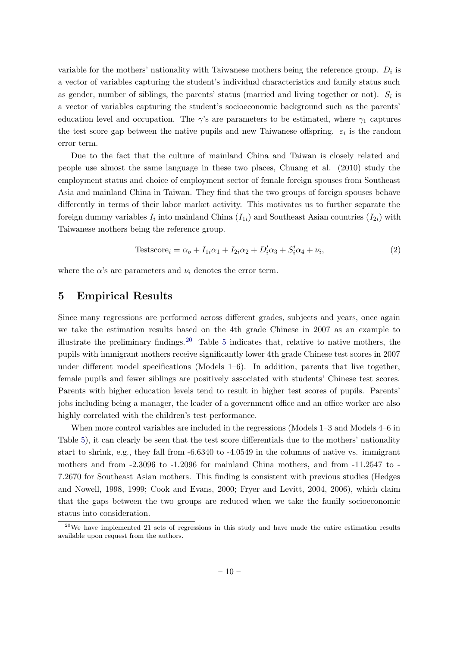<span id="page-12-0"></span>variable for the mothers' nationality with Taiwanese mothers being the reference group.  $D_i$  is a vector of variables capturing the student's individual characteristics and family status such as gender, number of siblings, the parents' status (married and living together or not).  $S_i$  is a vector of variables capturing the student's socioeconomic background such as the parents' education level and occupation. The  $\gamma$ 's are parameters to be estimated, where  $\gamma_1$  captures the test score gap between the native pupils and new Taiwanese offspring.  $\varepsilon_i$  is the random error term.

Due to the fact that the culture of mainland China and Taiwan is closely related and people use almost the same language in these two places, Chuang et al. (2010) study the employment status and choice of employment sector of female foreign spouses from Southeast Asia and mainland China in Taiwan. They find that the two groups of foreign spouses behave differently in terms of their labor market activity. This motivates us to further separate the foreign dummy variables  $I_i$  into mainland China  $(I_{1i})$  and Southeast Asian countries  $(I_{2i})$  with Taiwanese mothers being the reference group.

Testscore<sub>i</sub> = 
$$
\alpha_o + I_{1i}\alpha_1 + I_{2i}\alpha_2 + D'_i\alpha_3 + S'_i\alpha_4 + \nu_i,
$$
 (2)

where the  $\alpha$ 's are parameters and  $\nu_i$  denotes the error term.

#### 5 Empirical Results

Since many regressions are performed across different grades, subjects and years, once again we take the estimation results based on the 4th grade Chinese in 2007 as an example to illustrate the preliminary findings.<sup>20</sup> Table [5](#page-29-0) indicates that, relative to native mothers, the pupils with immigrant mothers receive significantly lower 4th grade Chinese test scores in 2007 under different model specifications (Models 1–6). In addition, parents that live together, female pupils and fewer siblings are positively associated with students' Chinese test scores. Parents with higher education levels tend to result in higher test scores of pupils. Parents' jobs including being a manager, the leader of a government office and an office worker are also highly correlated with the children's test performance.

When more control variables are included in the regressions (Models 1–3 and Models 4–6 in Table [5\)](#page-29-0), it can clearly be seen that the test score differentials due to the mothers' nationality start to shrink, e.g., they fall from -6.6340 to -4.0549 in the columns of native vs. immigrant mothers and from -2.3096 to -1.2096 for mainland China mothers, and from -11.2547 to - 7.2670 for Southeast Asian mothers. This finding is consistent with previous studies (Hedges and Nowell, 1998, 1999; Cook and Evans, 2000; Fryer and Levitt, 2004, 2006), which claim that the gaps between the two groups are reduced when we take the family socioeconomic status into consideration.

 $20$ We have implemented 21 sets of regressions in this study and have made the entire estimation results available upon request from the authors.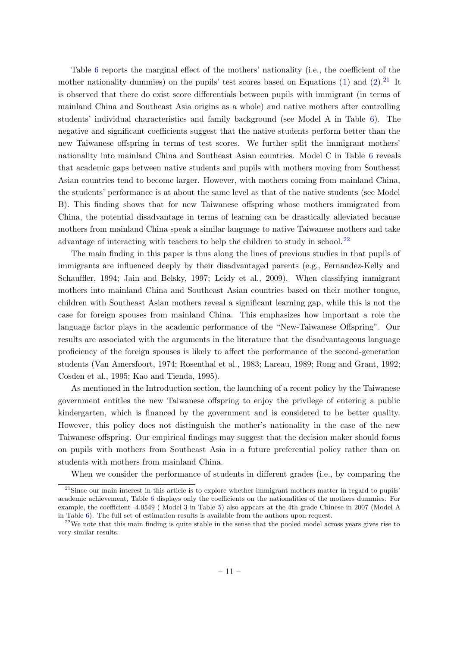Table [6](#page-30-0) reports the marginal effect of the mothers' nationality (i.e., the coefficient of the mother nationality dummies) on the pupils' test scores based on Equations ([1\)](#page-11-0) and [\(2](#page-12-0)).<sup>21</sup> It is observed that there do exist score differentials between pupils with immigrant (in terms of mainland China and Southeast Asia origins as a whole) and native mothers after controlling students' individual characteristics and family background (see Model A in Table [6](#page-30-0)). The negative and significant coefficients suggest that the native students perform better than the new Taiwanese offspring in terms of test scores. We further split the immigrant mothers' nationality into mainland China and Southeast Asian countries. Model C in Table [6](#page-30-0) reveals that academic gaps between native students and pupils with mothers moving from Southeast Asian countries tend to become larger. However, with mothers coming from mainland China, the students' performance is at about the same level as that of the native students (see Model B). This finding shows that for new Taiwanese offspring whose mothers immigrated from China, the potential disadvantage in terms of learning can be drastically alleviated because mothers from mainland China speak a similar language to native Taiwanese mothers and take advantage of interacting with teachers to help the children to study in school.<sup>22</sup>

The main finding in this paper is thus along the lines of previous studies in that pupils of immigrants are influenced deeply by their disadvantaged parents (e.g., Fernandez-Kelly and Schauffler, 1994; Jain and Belsky, 1997; Leidy et al., 2009). When classifying immigrant mothers into mainland China and Southeast Asian countries based on their mother tongue, children with Southeast Asian mothers reveal a significant learning gap, while this is not the case for foreign spouses from mainland China. This emphasizes how important a role the language factor plays in the academic performance of the "New-Taiwanese Offspring". Our results are associated with the arguments in the literature that the disadvantageous language proficiency of the foreign spouses is likely to affect the performance of the second-generation students (Van Amersfoort, 1974; Rosenthal et al., 1983; Lareau, 1989; Rong and Grant, 1992; Cosden et al., 1995; Kao and Tienda, 1995).

As mentioned in the Introduction section, the launching of a recent policy by the Taiwanese government entitles the new Taiwanese offspring to enjoy the privilege of entering a public kindergarten, which is financed by the government and is considered to be better quality. However, this policy does not distinguish the mother's nationality in the case of the new Taiwanese offspring. Our empirical findings may suggest that the decision maker should focus on pupils with mothers from Southeast Asia in a future preferential policy rather than on students with mothers from mainland China.

When we consider the performance of students in different grades (i.e., by comparing the

<sup>&</sup>lt;sup>21</sup>Since our main interest in this article is to explore whether immigrant mothers matter in regard to pupils' academic achievement, Table [6](#page-30-0) displays only the coefficients on the nationalities of the mothers dummies. For example, the coefficient -4.0549 ( Model 3 in Table [5](#page-29-0)) also appears at the 4th grade Chinese in 2007 (Model A in Table [6](#page-30-0)). The full set of estimation results is available from the authors upon request.

 $22$ We note that this main finding is quite stable in the sense that the pooled model across years gives rise to very similar results.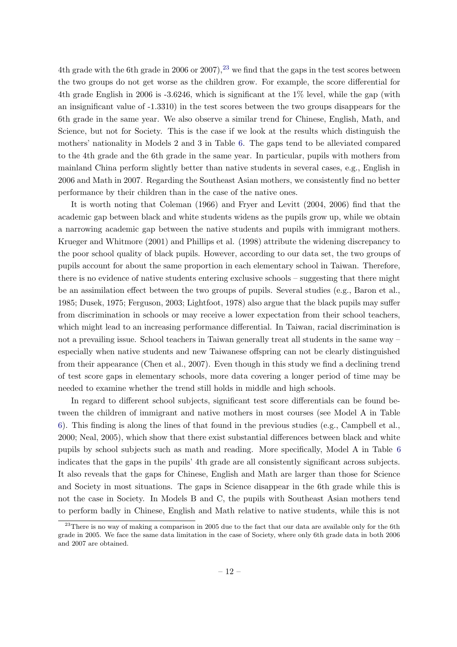4th grade with the 6th grade in 2006 or 2007),  $^{23}$  we find that the gaps in the test scores between the two groups do not get worse as the children grow. For example, the score differential for 4th grade English in 2006 is -3.6246, which is significant at the 1% level, while the gap (with an insignificant value of -1.3310) in the test scores between the two groups disappears for the 6th grade in the same year. We also observe a similar trend for Chinese, English, Math, and Science, but not for Society. This is the case if we look at the results which distinguish the mothers' nationality in Models 2 and 3 in Table [6.](#page-30-0) The gaps tend to be alleviated compared to the 4th grade and the 6th grade in the same year. In particular, pupils with mothers from mainland China perform slightly better than native students in several cases, e.g., English in 2006 and Math in 2007. Regarding the Southeast Asian mothers, we consistently find no better performance by their children than in the case of the native ones.

It is worth noting that Coleman (1966) and Fryer and Levitt (2004, 2006) find that the academic gap between black and white students widens as the pupils grow up, while we obtain a narrowing academic gap between the native students and pupils with immigrant mothers. Krueger and Whitmore (2001) and Phillips et al. (1998) attribute the widening discrepancy to the poor school quality of black pupils. However, according to our data set, the two groups of pupils account for about the same proportion in each elementary school in Taiwan. Therefore, there is no evidence of native students entering exclusive schools – suggesting that there might be an assimilation effect between the two groups of pupils. Several studies (e.g., Baron et al., 1985; Dusek, 1975; Ferguson, 2003; Lightfoot, 1978) also argue that the black pupils may suffer from discrimination in schools or may receive a lower expectation from their school teachers, which might lead to an increasing performance differential. In Taiwan, racial discrimination is not a prevailing issue. School teachers in Taiwan generally treat all students in the same way – especially when native students and new Taiwanese offspring can not be clearly distinguished from their appearance (Chen et al., 2007). Even though in this study we find a declining trend of test score gaps in elementary schools, more data covering a longer period of time may be needed to examine whether the trend still holds in middle and high schools.

In regard to different school subjects, significant test score differentials can be found between the children of immigrant and native mothers in most courses (see Model A in Table [6](#page-30-0)). This finding is along the lines of that found in the previous studies (e.g., Campbell et al., 2000; Neal, 2005), which show that there exist substantial differences between black and white pupils by school subjects such as math and reading. More specifically, Model A in Table [6](#page-30-0) indicates that the gaps in the pupils' 4th grade are all consistently significant across subjects. It also reveals that the gaps for Chinese, English and Math are larger than those for Science and Society in most situations. The gaps in Science disappear in the 6th grade while this is not the case in Society. In Models B and C, the pupils with Southeast Asian mothers tend to perform badly in Chinese, English and Math relative to native students, while this is not

<sup>&</sup>lt;sup>23</sup>There is no way of making a comparison in 2005 due to the fact that our data are available only for the 6th grade in 2005. We face the same data limitation in the case of Society, where only 6th grade data in both 2006 and 2007 are obtained.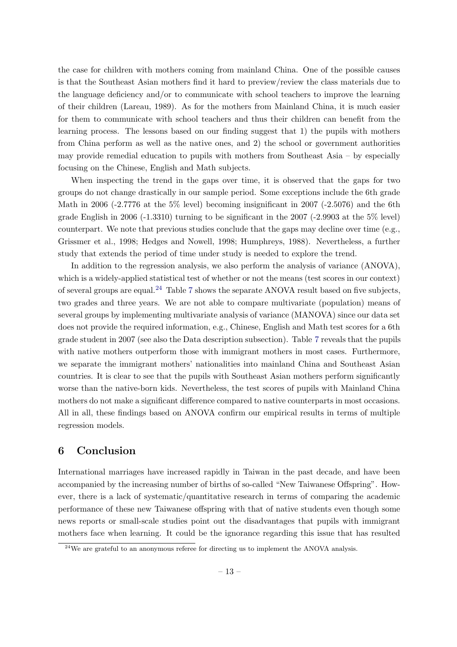the case for children with mothers coming from mainland China. One of the possible causes is that the Southeast Asian mothers find it hard to preview/review the class materials due to the language deficiency and/or to communicate with school teachers to improve the learning of their children (Lareau, 1989). As for the mothers from Mainland China, it is much easier for them to communicate with school teachers and thus their children can benefit from the learning process. The lessons based on our finding suggest that 1) the pupils with mothers from China perform as well as the native ones, and 2) the school or government authorities may provide remedial education to pupils with mothers from Southeast Asia – by especially focusing on the Chinese, English and Math subjects.

When inspecting the trend in the gaps over time, it is observed that the gaps for two groups do not change drastically in our sample period. Some exceptions include the 6th grade Math in 2006 (-2.7776 at the 5% level) becoming insignificant in 2007 (-2.5076) and the 6th grade English in 2006 (-1.3310) turning to be significant in the 2007 (-2.9903 at the 5% level) counterpart. We note that previous studies conclude that the gaps may decline over time (e.g., Grissmer et al., 1998; Hedges and Nowell, 1998; Humphreys, 1988). Nevertheless, a further study that extends the period of time under study is needed to explore the trend.

In addition to the regression analysis, we also perform the analysis of variance (ANOVA), which is a widely-applied statistical test of whether or not the means (test scores in our context) of several groups are equal.<sup>24</sup> Table [7](#page-31-0) shows the separate ANOVA result based on five subjects, two grades and three years. We are not able to compare multivariate (population) means of several groups by implementing multivariate analysis of variance (MANOVA) since our data set does not provide the required information, e.g., Chinese, English and Math test scores for a 6th grade student in 2007 (see also the Data description subsection). Table [7](#page-31-0) reveals that the pupils with native mothers outperform those with immigrant mothers in most cases. Furthermore, we separate the immigrant mothers' nationalities into mainland China and Southeast Asian countries. It is clear to see that the pupils with Southeast Asian mothers perform significantly worse than the native-born kids. Nevertheless, the test scores of pupils with Mainland China mothers do not make a significant difference compared to native counterparts in most occasions. All in all, these findings based on ANOVA confirm our empirical results in terms of multiple regression models.

## 6 Conclusion

International marriages have increased rapidly in Taiwan in the past decade, and have been accompanied by the increasing number of births of so-called "New Taiwanese Offspring". However, there is a lack of systematic/quantitative research in terms of comparing the academic performance of these new Taiwanese offspring with that of native students even though some news reports or small-scale studies point out the disadvantages that pupils with immigrant mothers face when learning. It could be the ignorance regarding this issue that has resulted

<sup>&</sup>lt;sup>24</sup>We are grateful to an anonymous referee for directing us to implement the ANOVA analysis.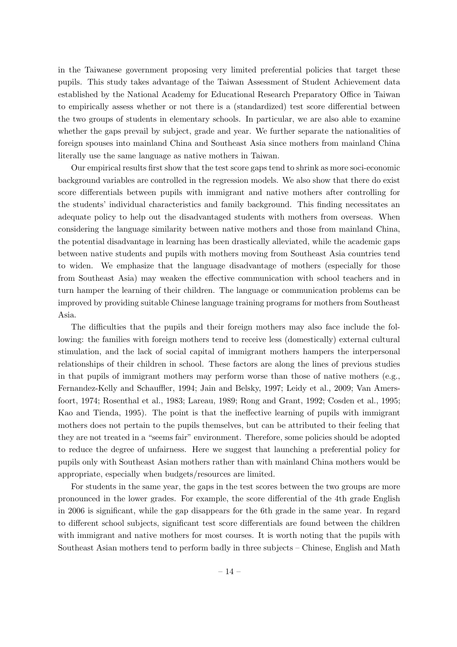in the Taiwanese government proposing very limited preferential policies that target these pupils. This study takes advantage of the Taiwan Assessment of Student Achievement data established by the National Academy for Educational Research Preparatory Office in Taiwan to empirically assess whether or not there is a (standardized) test score differential between the two groups of students in elementary schools. In particular, we are also able to examine whether the gaps prevail by subject, grade and year. We further separate the nationalities of foreign spouses into mainland China and Southeast Asia since mothers from mainland China literally use the same language as native mothers in Taiwan.

Our empirical results first show that the test score gaps tend to shrink as more soci-economic background variables are controlled in the regression models. We also show that there do exist score differentials between pupils with immigrant and native mothers after controlling for the students' individual characteristics and family background. This finding necessitates an adequate policy to help out the disadvantaged students with mothers from overseas. When considering the language similarity between native mothers and those from mainland China, the potential disadvantage in learning has been drastically alleviated, while the academic gaps between native students and pupils with mothers moving from Southeast Asia countries tend to widen. We emphasize that the language disadvantage of mothers (especially for those from Southeast Asia) may weaken the effective communication with school teachers and in turn hamper the learning of their children. The language or communication problems can be improved by providing suitable Chinese language training programs for mothers from Southeast Asia.

The difficulties that the pupils and their foreign mothers may also face include the following: the families with foreign mothers tend to receive less (domestically) external cultural stimulation, and the lack of social capital of immigrant mothers hampers the interpersonal relationships of their children in school. These factors are along the lines of previous studies in that pupils of immigrant mothers may perform worse than those of native mothers (e.g., Fernandez-Kelly and Schauffler, 1994; Jain and Belsky, 1997; Leidy et al., 2009; Van Amersfoort, 1974; Rosenthal et al., 1983; Lareau, 1989; Rong and Grant, 1992; Cosden et al., 1995; Kao and Tienda, 1995). The point is that the ineffective learning of pupils with immigrant mothers does not pertain to the pupils themselves, but can be attributed to their feeling that they are not treated in a "seems fair" environment. Therefore, some policies should be adopted to reduce the degree of unfairness. Here we suggest that launching a preferential policy for pupils only with Southeast Asian mothers rather than with mainland China mothers would be appropriate, especially when budgets/resources are limited.

For students in the same year, the gaps in the test scores between the two groups are more pronounced in the lower grades. For example, the score differential of the 4th grade English in 2006 is significant, while the gap disappears for the 6th grade in the same year. In regard to different school subjects, significant test score differentials are found between the children with immigrant and native mothers for most courses. It is worth noting that the pupils with Southeast Asian mothers tend to perform badly in three subjects – Chinese, English and Math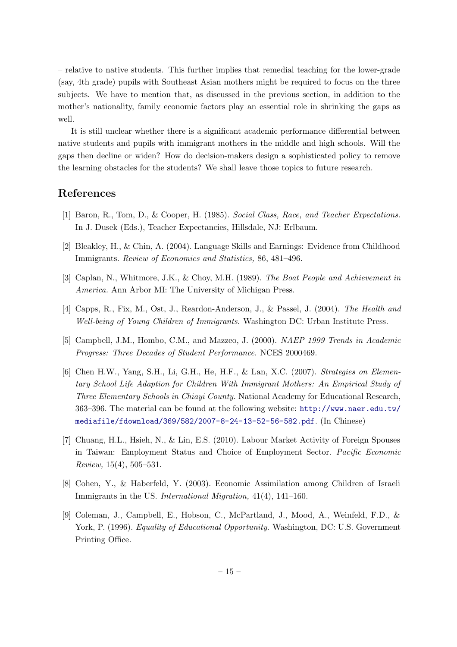– relative to native students. This further implies that remedial teaching for the lower-grade (say, 4th grade) pupils with Southeast Asian mothers might be required to focus on the three subjects. We have to mention that, as discussed in the previous section, in addition to the mother's nationality, family economic factors play an essential role in shrinking the gaps as well.

It is still unclear whether there is a significant academic performance differential between native students and pupils with immigrant mothers in the middle and high schools. Will the gaps then decline or widen? How do decision-makers design a sophisticated policy to remove the learning obstacles for the students? We shall leave those topics to future research.

#### References

- [1] Baron, R., Tom, D., & Cooper, H. (1985). Social Class, Race, and Teacher Expectations. In J. Dusek (Eds.), Teacher Expectancies, Hillsdale, NJ: Erlbaum.
- [2] Bleakley, H., & Chin, A. (2004). Language Skills and Earnings: Evidence from Childhood Immigrants. Review of Economics and Statistics, 86, 481–496.
- [3] Caplan, N., Whitmore, J.K., & Choy, M.H. (1989). The Boat People and Achievement in America. Ann Arbor MI: The University of Michigan Press.
- [4] Capps, R., Fix, M., Ost, J., Reardon-Anderson, J., & Passel, J. (2004). The Health and Well-being of Young Children of Immigrants. Washington DC: Urban Institute Press.
- [5] Campbell, J.M., Hombo, C.M., and Mazzeo, J. (2000). NAEP 1999 Trends in Academic Progress: Three Decades of Student Performance. NCES 2000469.
- [6] Chen H.W., Yang, S.H., Li, G.H., He, H.F., & Lan, X.C. (2007). Strategies on Elementary School Life Adaption for Children With Immigrant Mothers: An Empirical Study of Three Elementary Schools in Chiayi County. National Academy for Educational Research, 363–396. The material can be found at the following website: [http://www.naer.edu.tw/](http://www.naer.edu.tw/mediafile/fdownload/369/582/2007-8-24-13-52-56-582.pdf) [mediafile/fdownload/369/582/2007-8-24-13-52-56-582.pdf](http://www.naer.edu.tw/mediafile/fdownload/369/582/2007-8-24-13-52-56-582.pdf). (In Chinese)
- [7] Chuang, H.L., Hsieh, N., & Lin, E.S. (2010). Labour Market Activity of Foreign Spouses in Taiwan: Employment Status and Choice of Employment Sector. Pacific Economic Review, 15(4), 505–531.
- [8] Cohen, Y., & Haberfeld, Y. (2003). Economic Assimilation among Children of Israeli Immigrants in the US. International Migration, 41(4), 141–160.
- [9] Coleman, J., Campbell, E., Hobson, C., McPartland, J., Mood, A., Weinfeld, F.D., & York, P. (1996). Equality of Educational Opportunity. Washington, DC: U.S. Government Printing Office.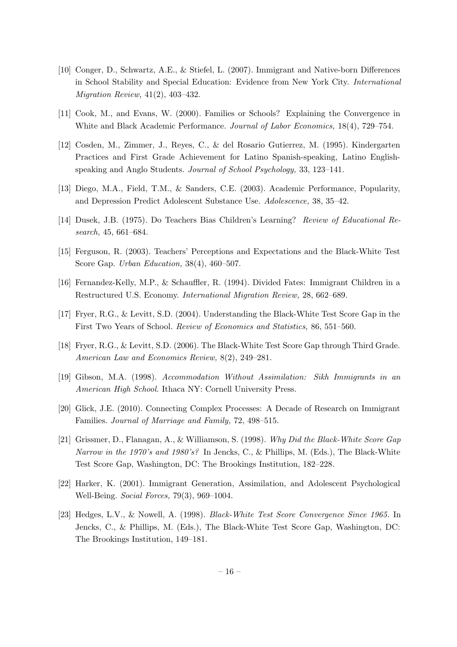- [10] Conger, D., Schwartz, A.E., & Stiefel, L. (2007). Immigrant and Native-born Differences in School Stability and Special Education: Evidence from New York City. International Migration Review, 41(2), 403–432.
- [11] Cook, M., and Evans, W. (2000). Families or Schools? Explaining the Convergence in White and Black Academic Performance. Journal of Labor Economics, 18(4), 729–754.
- [12] Cosden, M., Zimmer, J., Reyes, C., & del Rosario Gutierrez, M. (1995). Kindergarten Practices and First Grade Achievement for Latino Spanish-speaking, Latino Englishspeaking and Anglo Students. Journal of School Psychology, 33, 123–141.
- [13] Diego, M.A., Field, T.M., & Sanders, C.E. (2003). Academic Performance, Popularity, and Depression Predict Adolescent Substance Use. Adolescence, 38, 35–42.
- [14] Dusek, J.B. (1975). Do Teachers Bias Children's Learning? Review of Educational Research, 45, 661–684.
- [15] Ferguson, R. (2003). Teachers' Perceptions and Expectations and the Black-White Test Score Gap. Urban Education, 38(4), 460–507.
- [16] Fernandez-Kelly, M.P., & Schauffler, R. (1994). Divided Fates: Immigrant Children in a Restructured U.S. Economy. International Migration Review, 28, 662–689.
- [17] Fryer, R.G., & Levitt, S.D. (2004). Understanding the Black-White Test Score Gap in the First Two Years of School. Review of Economics and Statistics, 86, 551–560.
- [18] Fryer, R.G., & Levitt, S.D. (2006). The Black-White Test Score Gap through Third Grade. American Law and Economics Review, 8(2), 249–281.
- [19] Gibson, M.A. (1998). Accommodation Without Assimilation: Sikh Immigrants in an American High School. Ithaca NY: Cornell University Press.
- [20] Glick, J.E. (2010). Connecting Complex Processes: A Decade of Research on Immigrant Families. Journal of Marriage and Family, 72, 498–515.
- [21] Grissmer, D., Flanagan, A., & Williamson, S. (1998). Why Did the Black-White Score Gap Narrow in the 1970's and 1980's? In Jencks, C., & Phillips, M. (Eds.), The Black-White Test Score Gap, Washington, DC: The Brookings Institution, 182–228.
- [22] Harker, K. (2001). Immigrant Generation, Assimilation, and Adolescent Psychological Well-Being. Social Forces, 79(3), 969–1004.
- [23] Hedges, L.V., & Nowell, A. (1998). Black-White Test Score Convergence Since 1965. In Jencks, C., & Phillips, M. (Eds.), The Black-White Test Score Gap, Washington, DC: The Brookings Institution, 149–181.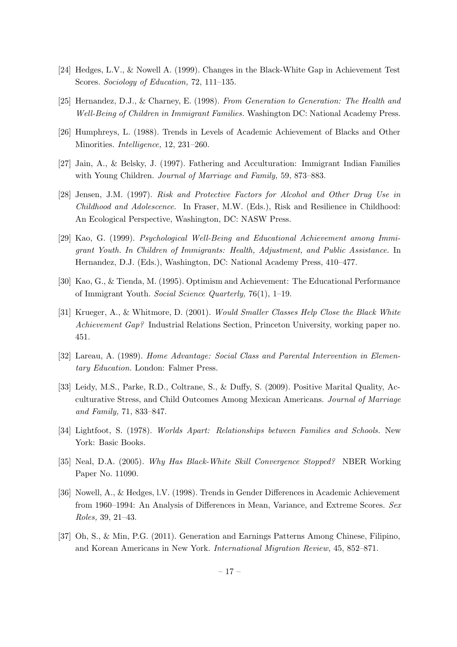- [24] Hedges, L.V., & Nowell A. (1999). Changes in the Black-White Gap in Achievement Test Scores. Sociology of Education, 72, 111–135.
- [25] Hernandez, D.J., & Charney, E. (1998). From Generation to Generation: The Health and Well-Being of Children in Immigrant Families. Washington DC: National Academy Press.
- [26] Humphreys, L. (1988). Trends in Levels of Academic Achievement of Blacks and Other Minorities. Intelligence, 12, 231–260.
- [27] Jain, A., & Belsky, J. (1997). Fathering and Acculturation: Immigrant Indian Families with Young Children. Journal of Marriage and Family, 59, 873–883.
- [28] Jensen, J.M. (1997). Risk and Protective Factors for Alcohol and Other Drug Use in Childhood and Adolescence. In Fraser, M.W. (Eds.), Risk and Resilience in Childhood: An Ecological Perspective, Washington, DC: NASW Press.
- [29] Kao, G. (1999). Psychological Well-Being and Educational Achievement among Immigrant Youth. In Children of Immigrants: Health, Adjustment, and Public Assistance. In Hernandez, D.J. (Eds.), Washington, DC: National Academy Press, 410–477.
- [30] Kao, G., & Tienda, M. (1995). Optimism and Achievement: The Educational Performance of Immigrant Youth. Social Science Quarterly, 76(1), 1–19.
- [31] Krueger, A., & Whitmore, D. (2001). Would Smaller Classes Help Close the Black White Achievement Gap? Industrial Relations Section, Princeton University, working paper no. 451.
- [32] Lareau, A. (1989). Home Advantage: Social Class and Parental Intervention in Elementary Education. London: Falmer Press.
- [33] Leidy, M.S., Parke, R.D., Coltrane, S., & Duffy, S. (2009). Positive Marital Quality, Acculturative Stress, and Child Outcomes Among Mexican Americans. Journal of Marriage and Family, 71, 833–847.
- [34] Lightfoot, S. (1978). Worlds Apart: Relationships between Families and Schools. New York: Basic Books.
- [35] Neal, D.A. (2005). Why Has Black-White Skill Convergence Stopped? NBER Working Paper No. 11090.
- [36] Nowell, A., & Hedges, l.V. (1998). Trends in Gender Differences in Academic Achievement from 1960–1994: An Analysis of Differences in Mean, Variance, and Extreme Scores. Sex Roles, 39, 21–43.
- [37] Oh, S., & Min, P.G. (2011). Generation and Earnings Patterns Among Chinese, Filipino, and Korean Americans in New York. International Migration Review, 45, 852–871.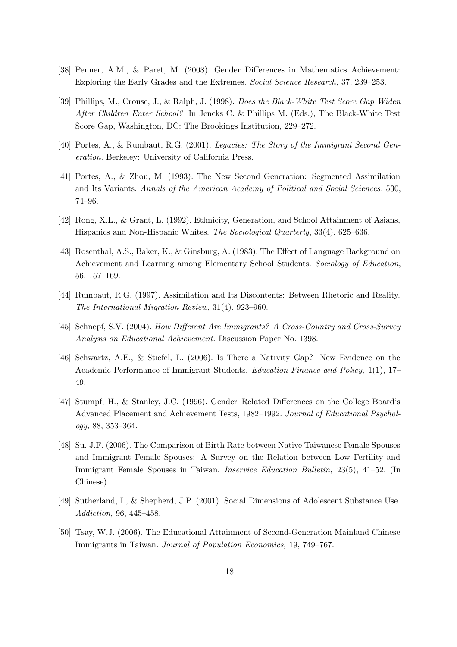- [38] Penner, A.M., & Paret, M. (2008). Gender Differences in Mathematics Achievement: Exploring the Early Grades and the Extremes. Social Science Research, 37, 239–253.
- [39] Phillips, M., Crouse, J., & Ralph, J. (1998). Does the Black-White Test Score Gap Widen After Children Enter School? In Jencks C. & Phillips M. (Eds.), The Black-White Test Score Gap, Washington, DC: The Brookings Institution, 229–272.
- [40] Portes, A., & Rumbaut, R.G. (2001). Legacies: The Story of the Immigrant Second Generation. Berkeley: University of California Press.
- [41] Portes, A., & Zhou, M. (1993). The New Second Generation: Segmented Assimilation and Its Variants. Annals of the American Academy of Political and Social Sciences, 530, 74–96.
- [42] Rong, X.L., & Grant, L. (1992). Ethnicity, Generation, and School Attainment of Asians, Hispanics and Non-Hispanic Whites. The Sociological Quarterly, 33(4), 625–636.
- [43] Rosenthal, A.S., Baker, K., & Ginsburg, A. (1983). The Effect of Language Background on Achievement and Learning among Elementary School Students. Sociology of Education, 56, 157–169.
- [44] Rumbaut, R.G. (1997). Assimilation and Its Discontents: Between Rhetoric and Reality. The International Migration Review, 31(4), 923–960.
- [45] Schnepf, S.V. (2004). How Different Are Immigrants? A Cross-Country and Cross-Survey Analysis on Educational Achievement. Discussion Paper No. 1398.
- [46] Schwartz, A.E., & Stiefel, L. (2006). Is There a Nativity Gap? New Evidence on the Academic Performance of Immigrant Students. Education Finance and Policy, 1(1), 17– 49.
- [47] Stumpf, H., & Stanley, J.C. (1996). Gender–Related Differences on the College Board's Advanced Placement and Achievement Tests, 1982–1992. Journal of Educational Psychology, 88, 353–364.
- [48] Su, J.F. (2006). The Comparison of Birth Rate between Native Taiwanese Female Spouses and Immigrant Female Spouses: A Survey on the Relation between Low Fertility and Immigrant Female Spouses in Taiwan. Inservice Education Bulletin, 23(5), 41–52. (In Chinese)
- [49] Sutherland, I., & Shepherd, J.P. (2001). Social Dimensions of Adolescent Substance Use. Addiction, 96, 445–458.
- [50] Tsay, W.J. (2006). The Educational Attainment of Second-Generation Mainland Chinese Immigrants in Taiwan. Journal of Population Economics, 19, 749–767.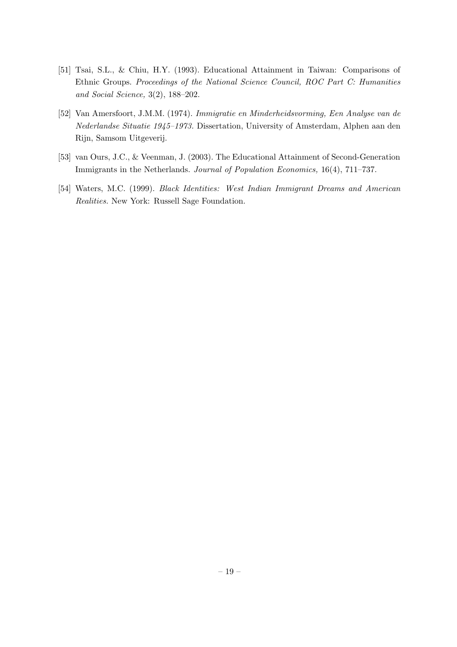- [51] Tsai, S.L., & Chiu, H.Y. (1993). Educational Attainment in Taiwan: Comparisons of Ethnic Groups. Proceedings of the National Science Council, ROC Part C: Humanities and Social Science, 3(2), 188–202.
- [52] Van Amersfoort, J.M.M. (1974). Immigratie en Minderheidsvorming, Een Analyse van de Nederlandse Situatie 1945–1973. Dissertation, University of Amsterdam, Alphen aan den Rijn, Samsom Uitgeverij.
- [53] van Ours, J.C., & Veenman, J. (2003). The Educational Attainment of Second-Generation Immigrants in the Netherlands. Journal of Population Economics, 16(4), 711–737.
- [54] Waters, M.C. (1999). Black Identities: West Indian Immigrant Dreams and American Realities. New York: Russell Sage Foundation.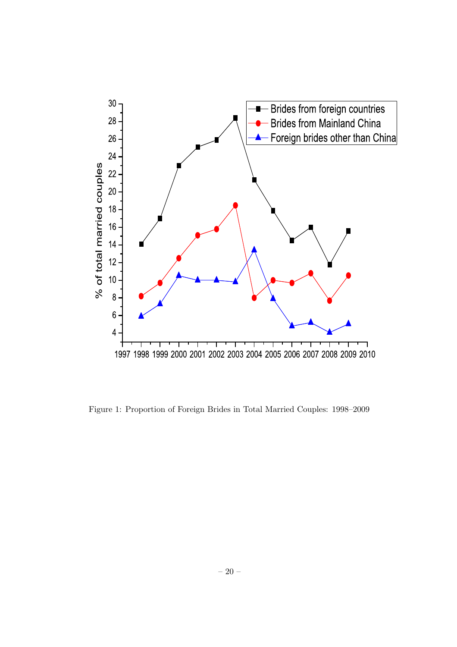<span id="page-22-0"></span>

Figure 1: Proportion of Foreign Brides in Total Married Couples: 1998–2009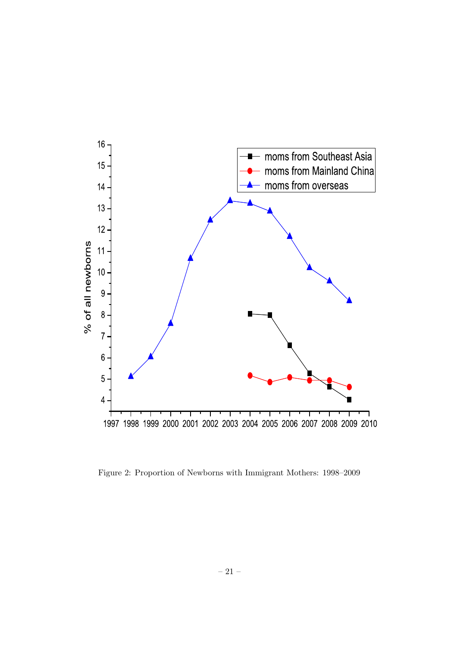<span id="page-23-0"></span>

Figure 2: Proportion of Newborns with Immigrant Mothers: 1998–2009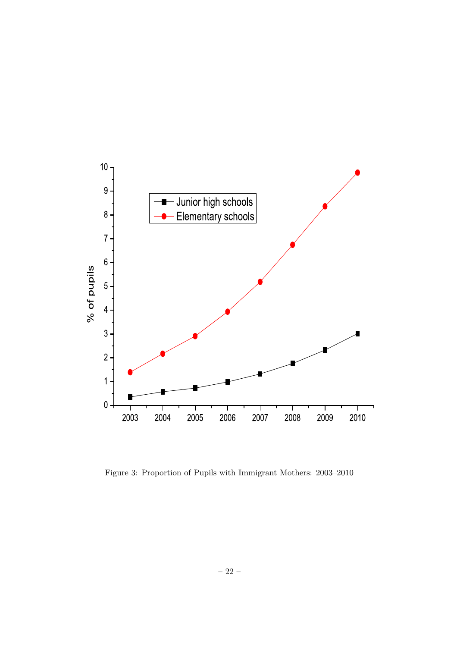<span id="page-24-0"></span>

Figure 3: Proportion of Pupils with Immigrant Mothers: 2003–2010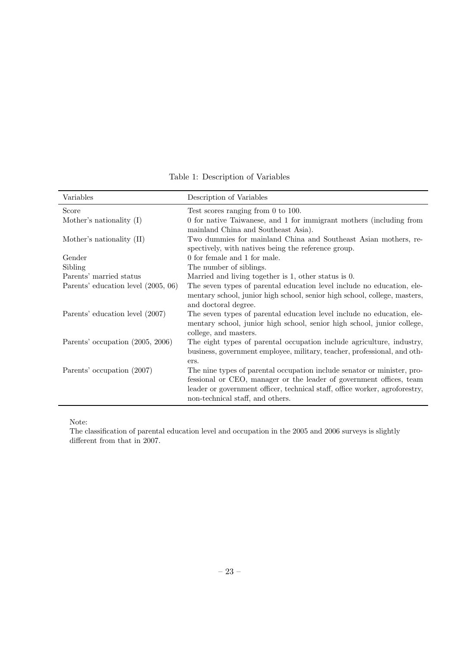<span id="page-25-0"></span>

| Variables                           | Description of Variables                                                                                                                                                                                                                                          |
|-------------------------------------|-------------------------------------------------------------------------------------------------------------------------------------------------------------------------------------------------------------------------------------------------------------------|
| Score                               | Test scores ranging from $0$ to $100$ .                                                                                                                                                                                                                           |
| Mother's nationality (I)            | 0 for native Taiwanese, and 1 for immigrant mothers (including from<br>mainland China and Southeast Asia).                                                                                                                                                        |
| Mother's nationality (II)           | Two dummies for mainland China and Southeast Asian mothers, re-<br>spectively, with natives being the reference group.                                                                                                                                            |
| Gender                              | 0 for female and 1 for male.                                                                                                                                                                                                                                      |
| Sibling                             | The number of siblings.                                                                                                                                                                                                                                           |
| Parents' married status             | Married and living together is 1, other status is 0.                                                                                                                                                                                                              |
| Parents' education level (2005, 06) | The seven types of parental education level include no education, ele-<br>mentary school, junior high school, senior high school, college, masters,<br>and doctoral degree.                                                                                       |
| Parents' education level (2007)     | The seven types of parental education level include no education, ele-<br>mentary school, junior high school, senior high school, junior college,<br>college, and masters.                                                                                        |
| Parents' occupation (2005, 2006)    | The eight types of parental occupation include agriculture, industry,<br>business, government employee, military, teacher, professional, and oth-<br>ers.                                                                                                         |
| Parents' occupation (2007)          | The nine types of parental occupation include senator or minister, pro-<br>fessional or CEO, manager or the leader of government offices, team<br>leader or government officer, technical staff, office worker, agroforestry,<br>non-technical staff, and others. |

Table 1: Description of Variables

Note:

The classification of parental education level and occupation in the 2005 and 2006 surveys is slightly different from that in 2007.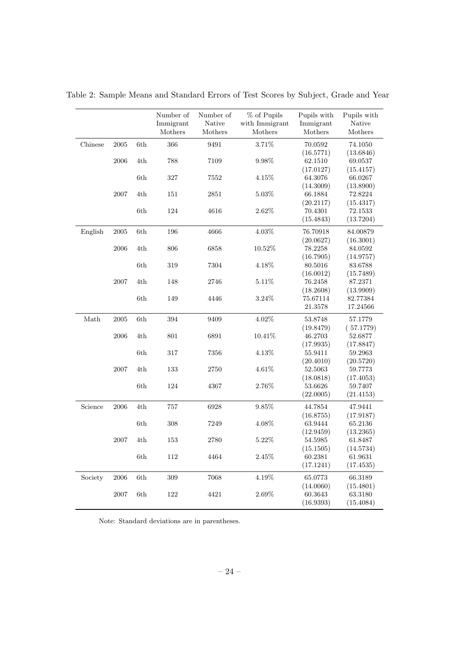|                       |          |                | Number of<br>Immigrant<br>Mothers | Number of<br>Native<br>Mothers | % of Pupils<br>with Immigrant<br>Mothers | Pupils with<br>Immigrant<br>Mothers | Pupils with<br>Native<br>Mothers |
|-----------------------|----------|----------------|-----------------------------------|--------------------------------|------------------------------------------|-------------------------------------|----------------------------------|
| Chinese               | 2005     | $6{\rm th}$    | 366                               | 9491                           | $3.71\%$                                 | 70.0592                             | 74.1050                          |
|                       |          |                |                                   |                                |                                          | (16.5771)                           | (13.6846)                        |
|                       | 2006     | $4{\rm th}$    | 788                               | 7109                           | $9.98\%$                                 | 62.1510                             | 69.0537                          |
|                       |          |                |                                   |                                |                                          | (17.0127)                           | (15.4157)                        |
|                       |          | $6{\rm th}$    | 327                               | 7552                           | $4.15\%$                                 | 64.3076                             | 66.0267                          |
|                       |          |                |                                   |                                |                                          | (14.3009)                           | (13.8900)                        |
|                       | 2007     | $4{\rm th}$    | 151                               | 2851                           | $5.03\%$                                 | 66.1884                             | 72.8224                          |
|                       |          |                |                                   |                                |                                          | (20.2117)                           | (15.4317)                        |
|                       |          | 6th            | 124                               | 4616                           | $2.62\%$                                 | 70.4301                             | 72.1533                          |
|                       |          |                |                                   |                                |                                          | (15.4843)                           | (13.7204)                        |
| English               | $2005\,$ | $6{\rm th}$    | 196                               | 4666                           | $4.03\%$                                 | 76.70918                            | 84.00879                         |
|                       |          |                |                                   |                                |                                          | (20.0627)                           | (16.3001)                        |
|                       | 2006     | 4th            | 806                               | 6858                           | $10.52\%$                                | 78.2258                             | 84.0592                          |
|                       |          |                |                                   |                                |                                          | (16.7905)                           | (14.9757)                        |
|                       |          | 6th            | 319                               | 7304                           | 4.18%                                    | 80.5016                             | 83.6788                          |
|                       |          |                |                                   |                                |                                          | (16.0012)                           | (15.7489)                        |
|                       | 2007     | 4th            | 148                               | 2746                           | $5.11\%$                                 | 76.2458                             | 87.2371                          |
|                       |          |                |                                   |                                |                                          | (18.2608)                           | (13.9909)                        |
|                       |          | 6th            | 149                               | 4446                           | $3.24\%$                                 | 75.67114                            | 82.77384                         |
|                       |          |                |                                   |                                |                                          | 21.3578                             | 17.24566                         |
| $\operatorname{Math}$ | 2005     | 6th            | 394                               | 9409                           | $4.02\%$                                 | 53.8748                             | 57.1779                          |
|                       |          |                |                                   |                                |                                          | (19.8479)                           | (57.1779)                        |
|                       | 2006     | 4th            | 801                               | 6891                           | $10.41\%$                                | 46.2703                             | 52.6877                          |
|                       |          |                |                                   |                                |                                          | (17.9935)                           | (17.8847)                        |
|                       |          | $6{\rm th}$    | 317                               | 7356                           | $4.13\%$                                 | 55.9411                             | 59.2963                          |
|                       |          |                |                                   |                                |                                          | (20.4010)                           | (20.5720)                        |
|                       | 2007     | $4{\rm th}$    | 133                               | 2750                           | $4.61\%$                                 | 52.5063                             | 59.7773                          |
|                       |          |                |                                   |                                |                                          | (18.0818)                           | (17.4053)                        |
|                       |          | $6{\rm th}$    | 124                               | 4367                           | $2.76\%$                                 | 53.6626                             | 59.7407                          |
|                       |          |                |                                   |                                |                                          | (22.0005)                           | (21.4153)                        |
| Science               | 2006     | $4\mathrm{th}$ | 757                               | 6928                           | $9.85\%$                                 | 44.7854                             | 47.9441                          |
|                       |          |                |                                   |                                |                                          | (16.8755)                           | (17.9187)                        |
|                       |          | $6{\rm th}$    | 308                               | 7249                           | $4.08\%$                                 | 63.9444                             | 65.2136                          |
|                       |          |                |                                   |                                |                                          | (12.9459)                           | (13.2365)                        |
|                       | $2007\,$ | 4th            | $153\,$                           | 2780                           | $5.22\%$                                 | 54.5985                             | 61.8487                          |
|                       |          |                |                                   |                                |                                          | (15.1505)                           | (14.5734)                        |
|                       |          | $6{\rm th}$    | 112                               | 4464                           | 2.45\%                                   | 60.2381                             | 61.9631                          |
|                       |          |                |                                   |                                |                                          | (17.1241)                           | (17.4535)                        |
| Society               | 2006     | $6{\rm th}$    | 309                               | 7068                           | 4.19%                                    | 65.0773                             | 66.3189                          |
|                       |          |                |                                   |                                |                                          | (14.0060)                           | (15.4801)                        |
|                       | 2007     | 6th            | 122                               | 4421                           | $2.69\%$                                 | 60.3643                             | 63.3180                          |
|                       |          |                |                                   |                                |                                          | (16.9393)                           | (15.4084)                        |

<span id="page-26-0"></span>Table 2: Sample Means and Standard Errors of Test Scores by Subject, Grade and Year

Note: Standard deviations are in parentheses.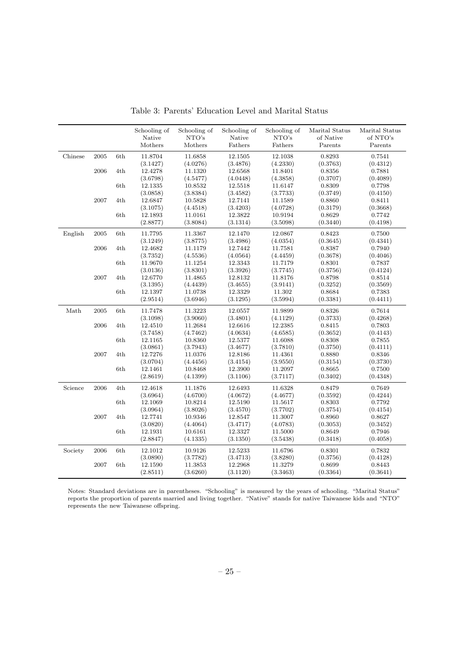<span id="page-27-0"></span>

|         |            |                | Schooling of        | Schooling of        | Schooling of        | Schooling of        | Marital Status     | Marital Status     |
|---------|------------|----------------|---------------------|---------------------|---------------------|---------------------|--------------------|--------------------|
|         |            |                | Native              | NTO's               | Native<br>Fathers   | NTO's               | of Native          | of NTO's           |
|         |            |                | Mothers             | Mothers             |                     | Fathers             | Parents            | Parents            |
| Chinese | 2005       | 6th            | 11.8704             | 11.6858             | 12.1505             | 12.1038             | 0.8293             | 0.7541             |
|         |            |                | (3.1427)            | (4.0276)            | (3.4876)            | (4.2330)            | (0.3763)           | (0.4312)           |
|         | 2006       | 4th            | 12.4278             | 11.1320             | 12.6568             | 11.8401             | 0.8356             | 0.7881             |
|         |            |                | (3.6798)            | (4.5477)            | (4.0448)            | (4.3858)            | (0.3707)           | (0.4089)           |
|         |            | $6{\rm th}$    | 12.1335             | 10.8532             | 12.5518             | 11.6147             | 0.8309             | 0.7798             |
|         |            |                | (3.0858)            | (3.8384)            | (3.4582)            | (3.7733)            | (0.3749)           | (0.4150)           |
|         | 2007       | 4th            | 12.6847             | 10.5828             | 12.7141             | 11.1589             | 0.8860             | 0.8411             |
|         |            |                | (3.1075)            | (4.4518)            | (3.4203)            | (4.0728)            | (0.3179)           | (0.3668)           |
|         |            | 6th            | 12.1893             | 11.0161             | 12.3822             | 10.9194             | 0.8629             | 0.7742             |
|         |            |                | (2.8877)            | (3.8084)            | (3.1314)            | (3.5098)            | (0.3440)           | (0.4198)           |
| English | $\,2005\,$ | 6th            | 11.7795             | 11.3367             | 12.1470             | 12.0867             | 0.8423             | 0.7500             |
|         |            |                | (3.1249)            | (3.8775)            | (3.4986)            | (4.0354)            | (0.3645)           | (0.4341)           |
|         | $\,2006\,$ | 4th            | 12.4682             | 11.1179             | 12.7442             | 11.7581             | 0.8387             | 0.7940             |
|         |            |                | (3.7352)            | (4.5536)            | (4.0564)            | (4.4459)            | (0.3678)           | (0.4046)           |
|         |            | 6th            | 11.9670             | 11.1254             | 12.3343             | 11.7179             | 0.8301             | 0.7837             |
|         |            |                | (3.0136)            | (3.8301)            | (3.3926)            | (3.7745)            | (0.3756)           | (0.4124)           |
|         | $\,2007\,$ | 4th            | 12.6770             | 11.4865             | 12.8132             | 11.8176             | 0.8798             | 0.8514             |
|         |            |                | (3.1395)            | (4.4439)            | (3.4655)            | (3.9141)            | (0.3252)           | (0.3569)           |
|         |            | 6th            | 12.1397             | 11.0738             | 12.3329             | 11.302              | 0.8684             | 0.7383             |
|         |            |                | (2.9514)            | (3.6946)            | (3.1295)            | (3.5994)            | (0.3381)           | (0.4411)           |
| Math    | 2005       | 6th            | 11.7478             | 11.3223             | 12.0557             | 11.9899             | 0.8326             | 0.7614             |
|         |            |                | (3.1098)            | (3.9060)            | (3.4801)            | (4.1129)            | (0.3733)           | (0.4268)           |
|         | $\,2006\,$ | $4\mathrm{th}$ | 12.4510             | 11.2684             | 12.6616             | 12.2385             | 0.8415             | 0.7803             |
|         |            |                | (3.7458)            | (4.7462)            | (4.0634)            | (4.6585)            | (0.3652)           | (0.4143)           |
|         |            | 6th            | 12.1165             | 10.8360             | 12.5377             | 11.6088             | 0.8308             | $0.7855\,$         |
|         | 2007       | 4th            | (3.0861)<br>12.7276 | (3.7943)<br>11.0376 | (3.4677)<br>12.8186 | (3.7810)<br>11.4361 | (0.3750)<br>0.8880 | (0.4111)<br>0.8346 |
|         |            |                | (3.0704)            | (4.4456)            | (3.4154)            | (3.9550)            | (0.3154)           | (0.3730)           |
|         |            | $6{\rm th}$    | 12.1461             | 10.8468             | 12.3900             | 11.2097             | 0.8665             | 0.7500             |
|         |            |                | (2.8619)            | (4.1399)            | (3.1106)            | (3.7117)            | (0.3402)           | (0.4348)           |
|         |            |                |                     |                     |                     |                     |                    |                    |
| Science | $\,2006\,$ | $4\mathrm{th}$ | 12.4618             | 11.1876             | 12.6493             | 11.6328             | 0.8479             | 0.7649             |
|         |            |                | (3.6964)            | (4.6700)            | (4.0672)            | (4.4677)            | (0.3592)           | (0.4244)           |
|         |            | 6th            | 12.1069             | 10.8214             | 12.5190             | 11.5617             | 0.8303             | 0.7792             |
|         |            |                | (3.0964)            | (3.8026)            | (3.4570)            | (3.7702)            | (0.3754)           | (0.4154)           |
|         | 2007       | 4th            | 12.7741             | 10.9346             | 12.8547             | 11.3007             | 0.8960             | 0.8627             |
|         |            |                | (3.0820)            | (4.4064)            | (3.4717)            | (4.0783)            | (0.3053)           | (0.3452)           |
|         |            | 6th            | 12.1931             | 10.6161             | 12.3327             | 11.5000             | 0.8649             | 0.7946             |
|         |            |                | (2.8847)            | (4.1335)            | (3.1350)            | (3.5438)            | (0.3418)           | (0.4058)           |
| Society | 2006       | 6th            | 12.1012             | 10.9126             | 12.5233             | 11.6796             | 0.8301             | 0.7832             |
|         |            |                | (3.0890)            | (3.7782)            | (3.4713)            | (3.8280)            | (0.3756)           | (0.4128)           |
|         | 2007       | 6th            | 12.1590             | 11.3853             | 12.2968             | 11.3279             | 0.8699             | 0.8443             |
|         |            |                | (2.8511)            | (3.6260)            | (3.1120)            | (3.3463)            | (0.3364)           | (0.3641)           |

Table 3: Parents' Education Level and Marital Status

Notes: Standard deviations are in parentheses. "Schooling" is measured by the years of schooling. "Marital Status" reports the proportion of parents married and living together. "Native" stands for native Taiwanese kids and "NTO" represents the new Taiwanese offspring.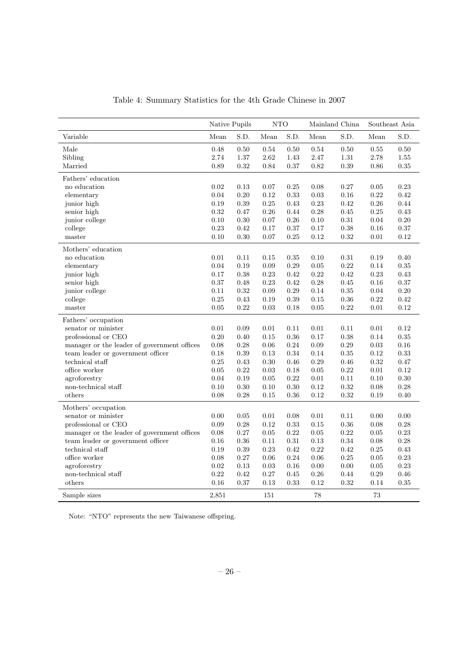<span id="page-28-0"></span>

|                                             | Native Pupils |            |          | <b>NTO</b> |            | Mainland China |            | Southeast Asia |
|---------------------------------------------|---------------|------------|----------|------------|------------|----------------|------------|----------------|
| Variable                                    | Mean          | S.D.       | Mean     | S.D.       | Mean       | S.D.           | Mean       | S.D.           |
| Male                                        | 0.48          | $0.50\,$   | $0.54\,$ | $0.50\,$   | $\rm 0.54$ | 0.50           | 0.55       | $0.50\,$       |
| Sibling                                     | $2.74\,$      | $1.37\,$   | 2.62     | $1.43\,$   | $2.47\,$   | $1.31\,$       | 2.78       | $1.55\,$       |
| Married                                     | 0.89          | 0.32       | 0.84     | 0.37       | 0.82       | 0.39           | 0.86       | 0.35           |
| Fathers' education                          |               |            |          |            |            |                |            |                |
| no education                                | 0.02          | 0.13       | 0.07     | 0.25       | 0.08       | 0.27           | 0.05       | 0.23           |
| elementary                                  | 0.04          | 0.20       | 0.12     | 0.33       | 0.03       | 0.16           | 0.22       | 0.42           |
| junior high                                 | 0.19          | 0.39       | 0.25     | 0.43       | 0.23       | 0.42           | 0.26       | 0.44           |
| senior high                                 | 0.32          | 0.47       | 0.26     | 0.44       | 0.28       | 0.45           | 0.25       | 0.43           |
| junior college                              | 0.10          | $0.30\,$   | 0.07     | 0.26       | 0.10       | $\rm 0.31$     | 0.04       | 0.20           |
| college                                     | 0.23          | 0.42       | 0.17     | 0.37       | 0.17       | 0.38           | 0.16       | 0.37           |
| master                                      | 0.10          | $0.30\,$   | 0.07     | 0.25       | 0.12       | 0.32           | $\rm 0.01$ | 0.12           |
| Mothers' education                          |               |            |          |            |            |                |            |                |
| no education                                | 0.01          | 0.11       | 0.15     | 0.35       | 0.10       | 0.31           | 0.19       | 0.40           |
| elementary                                  | 0.04          | 0.19       | $0.09\,$ | 0.29       | 0.05       | 0.22           | 0.14       | 0.35           |
| junior high                                 | 0.17          | 0.38       | 0.23     | 0.42       | 0.22       | 0.42           | 0.23       | 0.43           |
| senior high                                 | 0.37          | 0.48       | 0.23     | 0.42       | 0.28       | 0.45           | 0.16       | 0.37           |
| junior college                              | 0.11          | $\rm 0.32$ | 0.09     | 0.29       | 0.14       | 0.35           | 0.04       | $0.20\,$       |
| college                                     | 0.25          | 0.43       | 0.19     | 0.39       | 0.15       | 0.36           | 0.22       | 0.42           |
| master                                      | 0.05          | 0.22       | 0.03     | 0.18       | 0.05       | 0.22           | 0.01       | 0.12           |
| Fathers' occupation                         |               |            |          |            |            |                |            |                |
| senator or minister                         | 0.01          | 0.09       | 0.01     | 0.11       | 0.01       | 0.11           | 0.01       | 0.12           |
| professional or CEO                         | 0.20          | 0.40       | 0.15     | $0.36\,$   | 0.17       | 0.38           | 0.14       | $0.35\,$       |
| manager or the leader of government offices | 0.08          | 0.28       | 0.06     | 0.24       | 0.09       | 0.29           | 0.03       | 0.16           |
| team leader or government officer           | 0.18          | 0.39       | 0.13     | 0.34       | 0.14       | $0.35\,$       | 0.12       | 0.33           |
| technical staff                             | 0.25          | 0.43       | 0.30     | 0.46       | 0.29       | 0.46           | 0.32       | 0.47           |
| office worker                               | 0.05          | 0.22       | 0.03     | 0.18       | 0.05       | 0.22           | 0.01       | 0.12           |
| agroforestry                                | 0.04          | 0.19       | 0.05     | 0.22       | 0.01       | 0.11           | 0.10       | 0.30           |
| $\!$ non-technical staff                    | 0.10          | 0.30       | 0.10     | 0.30       | 0.12       | 0.32           | 0.08       | 0.28           |
| others                                      | 0.08          | 0.28       | 0.15     | 0.36       | 0.12       | 0.32           | 0.19       | 0.40           |
| Mothers' occupation                         |               |            |          |            |            |                |            |                |
| senator or minister                         | 0.00          | 0.05       | 0.01     | 0.08       | 0.01       | 0.11           | 0.00       | 0.00           |
| professional or CEO                         | 0.09          | 0.28       | 0.12     | 0.33       | 0.15       | 0.36           | 0.08       | 0.28           |
| manager or the leader of government offices | 0.08          | 0.27       | 0.05     | 0.22       | 0.05       | $0.22\,$       | 0.05       | 0.23           |
| team leader or government officer           | 0.16          | 0.36       | 0.11     | $\rm 0.31$ | 0.13       | 0.34           | 0.08       | 0.28           |
| technical staff                             | 0.19          | 0.39       | 0.23     | 0.42       | 0.22       | 0.42           | 0.25       | 0.43           |
| office worker                               | 0.08          | $0.27\,$   | 0.06     | 0.24       | 0.06       | 0.25           | $0.05\,$   | 0.23           |
| agroforestry                                | 0.02          | 0.13       | 0.03     | 0.16       | 0.00       | 0.00           | 0.05       | 0.23           |
| non-technical staff                         | 0.22          | 0.42       | 0.27     | 0.45       | 0.26       | 0.44           | 0.29       | 0.46           |
| others                                      | 0.16          | $0.37\,$   | 0.13     | 0.33       | 0.12       | 0.32           | 0.14       | 0.35           |
| Sample sizes                                | 2,851         |            | 151      |            | 78         |                | 73         |                |

Table 4: Summary Statistics for the 4th Grade Chinese in 2007

Note: "NTO" represents the new Taiwanese offspring.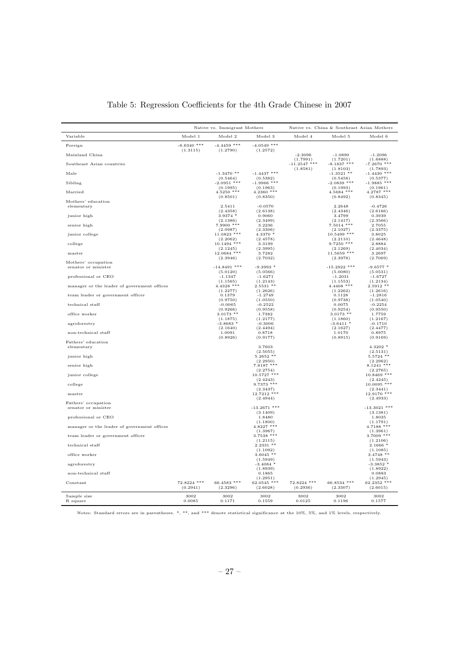<span id="page-29-0"></span>

|                                             |                           | Native vs. Immigrant Mothers |                                     | Native vs. China & Southeast Asian Mothers |                           |                                     |
|---------------------------------------------|---------------------------|------------------------------|-------------------------------------|--------------------------------------------|---------------------------|-------------------------------------|
| Variable                                    | Model 1                   | Model 2                      | Model 3                             | Model 4                                    | Model 5                   | Model 6                             |
| Foreign                                     | $-6.6340$ ***<br>(1.3115) | $-4.4459$ ***<br>(1.2790)    | $-4.0549$ ***<br>(1.2572)           |                                            |                           |                                     |
| Mainland China                              |                           |                              |                                     | $-2.3096$                                  | $-1.0890$                 | $-1.2096$                           |
| Southeast Asian countries                   |                           |                              |                                     | (1.7991)<br>$-11.2547$ ***                 | (1.7201)<br>$-8.1837$ *** | (1.6888)<br>$-7.2670$ ***           |
| Male                                        |                           | $-1.3470$ **                 | $-1.4437$ ***                       | (1.8581)                                   | (1.8103)<br>$-1.3521$ **  | (1.7893)<br>$-1.4430$ ***           |
| Sibling                                     |                           | (0.5464)<br>$-2.0951$ ***    | (0.5382)<br>$-1.9966$ ***           |                                            | (0.5458)<br>$-2.0839$ *** | (0.5377)<br>$-1.9885$ ***           |
| Married                                     |                           | (0.1995)<br>4.5250 ***       | (0.1963)<br>4.2360 ***              |                                            | (0.1993)<br>$4.5684$ ***  | (0.1961)<br>4.2787 ***              |
|                                             |                           | (0.8501)                     | (0.8350)                            |                                            | (0.8492)                  | (0.8345)                            |
| Mothers' education<br>elementary            |                           | 2.5411                       | $-0.0570$                           |                                            | 2.2648                    | $-0.4726$                           |
| junior high                                 |                           | (2.4358)<br>3.9374 *         | (2.6138)<br>0.9060                  |                                            | (2.4346)<br>3.4799        | (2.6166)<br>0.3939                  |
| senior high                                 |                           | (2.1386)<br>7.9900 ***       | (2.3499)<br>3.2236                  |                                            | (2.1417)<br>$7.5014$ ***  | (2.3566)<br>2.7055                  |
| junior college                              |                           | (2.0987)<br>11.0823 ***      | (2.3306)<br>4.3370 *                |                                            | (2.1027)<br>10.5499 ***   | (2.3375)<br>3.8025                  |
| college                                     |                           | (2.2062)<br>$10.1494$ ***    | (2.4578)<br>3.3199                  |                                            | (2.2110)<br>9.7250 ***    | (2.4648)<br>2.8884                  |
|                                             |                           | (2.1245)<br>12.0684 ***      | (2.3995)                            |                                            | (2.1269)<br>11.5659 ***   | (2.4034)                            |
| master                                      |                           | (2.3946)                     | 3.7282<br>(2.7032)                  |                                            | (2.3978)                  | 3.2697<br>(2.7069)                  |
| Mothers' occupation<br>senator or minister  |                           | $-14.8491$ ***               | $-9.3993*$                          |                                            | $-15.2922$ ***            | $-9.6577$ *                         |
|                                             |                           | (5.0120)                     | (5.0566)                            |                                            | (5.0080)                  | (5.0531)                            |
| professional or CEO                         |                           | $-1.1347$                    | $-1.6271$                           |                                            | $-1.2031$                 | $-1.6727$                           |
|                                             |                           | (1.1565)                     | (1.2143)                            |                                            | (1.1553)                  | (1.2134)                            |
| manager or the leader of government offices |                           | 4.4328 ***                   | $2.5531$ **                         |                                            | $4.4408$ ***              | $2.5912$ **                         |
| team leader or government officer           |                           | (1.2277)<br>0.1379           | (1.2626)<br>$-1.2749$               |                                            | (1.2262)<br>0.1128        | (1.2616)<br>$-1.2816$               |
|                                             |                           | (0.9750)                     | (1.0550)                            |                                            | (0.9738)                  | (1.0540)                            |
| $\rm technical~staff$                       |                           | $-0.0065$                    | $-0.2522$                           |                                            | 0.0075                    | $-0.2254$                           |
| office worker                               |                           | (0.9266)<br>$3.0173$ **      | (0.9558)<br>1.7382                  |                                            | (0.9254)<br>$3.0173$ **   | (0.9550)<br>1.7759                  |
|                                             |                           | (1.1875)                     | (1.2177)                            |                                            | (1.1860)                  | (1.2167)                            |
| agroforestry                                |                           | $-3.8683*$                   | $-0.3006$                           |                                            | $-3.6411$                 | $-0.1710$                           |
| non-technical staff                         |                           | (2.1640)<br>1.0091           | (2.4494)<br>0.8718                  |                                            | (2.1627)<br>1.0170        | (2.4477)<br>0.8975                  |
| Fathers' education                          |                           | (0.8926)                     | (0.9177)                            |                                            | (0.8915)                  | (0.9169)                            |
| elementary                                  |                           |                              | 3.7603                              |                                            |                           | 4.3202 *                            |
| junior high                                 |                           |                              | (2.5055)<br>$5.2652$ **             |                                            |                           | (2.5131)<br>5.5724 **               |
|                                             |                           |                              | (2.2950)                            |                                            |                           | (2.2962)                            |
| senior high                                 |                           |                              | 7.8187 ***<br>(2.2754)              |                                            |                           | 8.1241 ***<br>(2.2765)              |
| junior college                              |                           |                              | 10.5727 ***<br>(2.4243)             |                                            |                           | 10.8469 ***<br>(2.4245)             |
| college                                     |                           |                              | $9.7373$ ***<br>(2.3437)            |                                            |                           | $10.0095$ ***<br>(2.3441)           |
| master                                      |                           |                              | 12.7212 ***<br>(2.4944)             |                                            |                           | 12.9170 ***                         |
| Fathers' occupation                         |                           |                              |                                     |                                            |                           | (2.4933)                            |
| senator or minister                         |                           |                              | $-13.2671$ ***<br>(3.1409)          |                                            |                           | $-13.3021$ ***<br>(3.1381)          |
| professional or CEO                         |                           |                              | 1.8480<br>(1.1800)                  |                                            |                           | 1.8035<br>(1.1791)                  |
| manager or the leader of government offices |                           |                              | 4.8227 ***<br>(1.3967)              |                                            |                           | 4.7188 ***<br>(1.3961)              |
| team leader or government officer           |                           |                              | $3.7538$ ***<br>(1.2115)            |                                            |                           | $3.7009$ ***<br>(1.2106)            |
| technical staff                             |                           |                              | $2.2331$ **<br>(1.1092)             |                                            |                           | $2.1666*$<br>(1.1085)               |
| office worker                               |                           |                              | $3.6045$ **                         |                                            |                           | $3.4748$ **                         |
| agroforestry                                |                           |                              | (1.5949)<br>$-3.4084$ *             |                                            |                           | (1.5943)<br>$-3.3852*$              |
| non-technical staff                         |                           |                              | (1.8939)<br>0.1865                  |                                            |                           | (1.8922)<br>0.0883                  |
| Constant                                    | 72.8224 ***<br>(0.2941)   | 66.4583 ***<br>(2.3296)      | (1.2951)<br>62.0545 ***<br>(2.6028) | 72.8224 ***<br>(0.2936)                    | 66.8534 ***<br>(2.3307)   | (1.2945)<br>62.2352 ***<br>(2.6015) |
| Sample size                                 | 3002                      | 3002                         | 3002                                | 3002                                       | 3002                      | 3002                                |
| R square                                    | 0.0085                    | 0.1171                       | 0.1559                              | 0.0125                                     | 0.1196                    | 0.1577                              |

#### Table 5: Regression Coefficients for the 4th Grade Chinese in 2007

Notes: Standard errors are in parentheses. \*, \*\*, and \*\*\* denote statistical significance at the 10%, 5%, and 1% levels, respectively.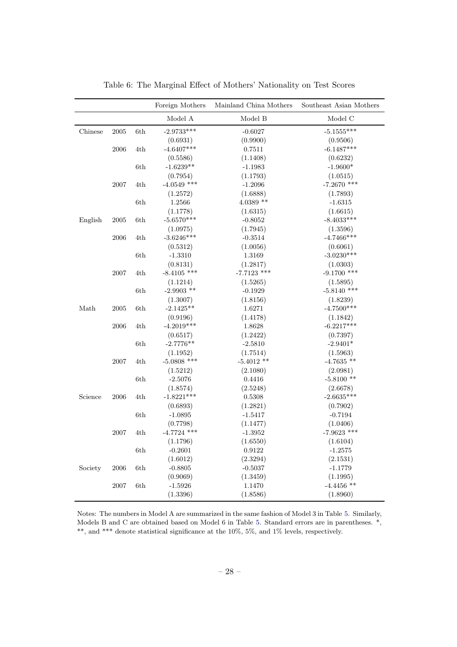<span id="page-30-0"></span>

|         |      |             | Foreign Mothers           | Mainland China Mothers | Southeast Asian Mothers   |
|---------|------|-------------|---------------------------|------------------------|---------------------------|
|         |      |             | Model A                   | Model B                | Model C                   |
| Chinese | 2005 | 6th         | $-2.9733***$              | $-0.6027$              | $-5.1555***$              |
|         |      |             | (0.6931)                  | (0.9900)               | (0.9506)                  |
|         | 2006 | 4th         | $-4.6407***$              | 0.7511                 | $-6.1487***$              |
|         |      |             | (0.5586)                  | (1.1408)               | (0.6232)                  |
|         |      | 6th         | $-1.6239**$               | $-1.1983$              | $-1.9600*$                |
|         |      |             | (0.7954)                  | (1.1793)               | (1.0515)                  |
|         | 2007 | 4th         | $-4.0549$ ***             | $-1.2096$              | $-7.2670$ ***             |
|         |      |             | (1.2572)                  | (1.6888)               | (1.7893)                  |
|         |      | 6th         | 1.2566                    | $4.0389**$             | $-1.6315$                 |
|         |      |             | (1.1778)                  | (1.6315)               | (1.6615)                  |
| English | 2005 | 6th         | $-5.6570***$              | $-0.8052$              | $-8.4033***$              |
|         |      |             | (1.0975)                  | (1.7945)               | (1.3596)                  |
|         | 2006 | 4th         | $-3.6246***$              | $-0.3514$              | $-4.7466***$              |
|         |      |             | (0.5312)                  | (1.0056)               | (0.6061)                  |
|         |      | 6th         | $-1.3310$                 | 1.3169                 | $-3.0230***$              |
|         |      |             | (0.8131)                  | (1.2817)               | (1.0303)                  |
|         | 2007 | 4th         | $-8.4105$ ***             | $-7.7123$ ***          | $-9.1700$ ***             |
|         |      |             | (1.1214)                  | (1.5265)               | (1.5895)                  |
|         |      | 6th         | $-2.9903$ **              | $-0.1929$              | $-5.8140$ ***             |
|         |      |             | (1.3007)                  | (1.8156)               | (1.8239)                  |
| Math    | 2005 | 6th         | $-2.1425**$               | 1.6271                 | $-4.7500***$              |
|         |      |             | (0.9196)                  | (1.4178)               | (1.1842)                  |
|         | 2006 | 4th         | $-4.2019***$              | 1.8628                 | $-6.2217***$              |
|         |      |             | (0.6517)                  | (1.2422)               | (0.7397)                  |
|         |      | 6th         | $-2.7776**$               | $-2.5810$              | $-2.9401*$                |
|         |      |             | (1.1952)                  | (1.7514)               | (1.5963)                  |
|         | 2007 | $4{\rm th}$ | $-5.0808$ ***             | $-5.4012$ **           | $-4.7635$ **              |
|         |      |             | (1.5212)                  | (2.1080)               | (2.0981)                  |
|         |      | 6th         | $-2.5076$                 | 0.4416                 | $-5.8100$ **              |
|         |      |             | (1.8574)                  | (2.5248)               | (2.6678)                  |
| Science | 2006 | 4th         | $-1.8221***$              | 0.5308                 | $-2.6635***$              |
|         |      |             | (0.6893)                  | (1.2821)               | (0.7902)                  |
|         |      | 6th         | $-1.0895$                 | $-1.5417$              | $-0.7194$                 |
|         |      |             | (0.7798)<br>$-4.7724$ *** | (1.1477)               | (1.0406)<br>$-7.9623$ *** |
|         | 2007 | 4th         |                           | $-1.3952$              |                           |
|         |      |             | (1.1796)                  | (1.6550)               | (1.6104)                  |
|         |      | 6th         | $-0.2601$                 | 0.9122                 | $-1.2575$                 |
|         |      |             | (1.6012)                  | (2.3294)               | (2.1531)                  |
| Society | 2006 | 6th         | $-0.8805$<br>(0.9069)     | $-0.5037$<br>(1.3459)  | $-1.1779$<br>(1.1995)     |
|         |      | 6th         |                           |                        | $-4.4456$ **              |
|         | 2007 |             | $-1.5926$<br>(1.3396)     | 1.1470<br>(1.8586)     | (1.8960)                  |
|         |      |             |                           |                        |                           |

Table 6: The Marginal Effect of Mothers' Nationality on Test Scores

Notes: The numbers in Model A are summarized in the same fashion of Model 3 in Table [5](#page-29-0). Similarly, Models B and C are obtained based on Model 6 in Table [5.](#page-29-0) Standard errors are in parentheses. \*,  $^{**}$  , and  $^{***}$  denote statistical significance at the 10%, 5%, and 1% levels, respectively.